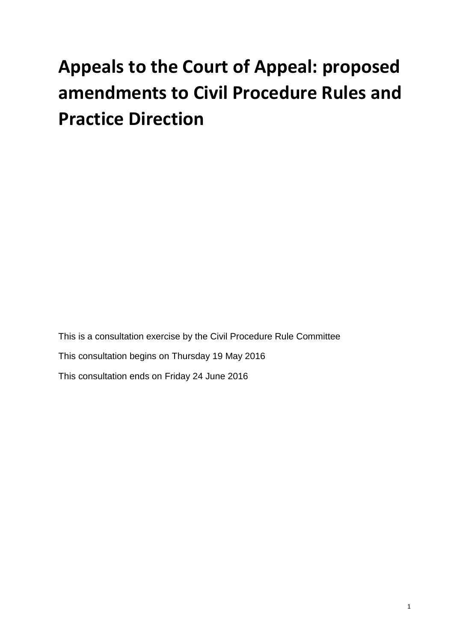# **Appeals to the Court of Appeal: proposed amendments to Civil Procedure Rules and Practice Direction**

This is a consultation exercise by the Civil Procedure Rule Committee This consultation begins on Thursday 19 May 2016 This consultation ends on Friday 24 June 2016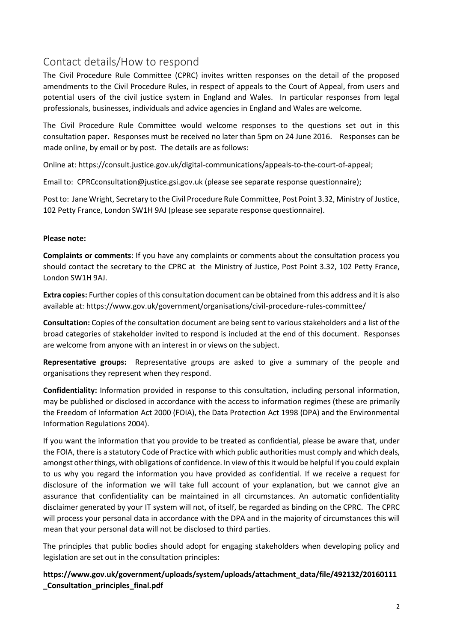# Contact details/How to respond

The Civil Procedure Rule Committee (CPRC) invites written responses on the detail of the proposed amendments to the Civil Procedure Rules, in respect of appeals to the Court of Appeal, from users and potential users of the civil justice system in England and Wales. In particular responses from legal professionals, businesses, individuals and advice agencies in England and Wales are welcome.

The Civil Procedure Rule Committee would welcome responses to the questions set out in this consultation paper. Responses must be received no later than 5pm on 24 June 2016. Responses can be made online, by email or by post. The details are as follows:

Online at: [https://consult.justice.gov.uk/digital-communications/appeals-to-the-court-of-appeal;](https://consult.justice.gov.uk/digital-communications/appeals-to-the-court-of-appeal)

Email to: [CPRCconsultation@justice.gsi.gov.uk](mailto:CPRCconsultation@justice.gsi.gov.uk) (please see separate response questionnaire);

Post to: Jane Wright, Secretary to the Civil Procedure Rule Committee, Post Point 3.32, Ministry of Justice, 102 Petty France, London SW1H 9AJ (please see separate response questionnaire).

## **Please note:**

**Complaints or comments**: If you have any complaints or comments about the consultation process you should contact the secretary to the CPRC at the Ministry of Justice, Post Point 3.32, 102 Petty France, London SW1H 9AJ.

**Extra copies:** Further copies of this consultation document can be obtained from this address and it is also available at:<https://www.gov.uk/government/organisations/civil-procedure-rules-committee/>

**Consultation:** Copies of the consultation document are being sent to various stakeholders and a list of the broad categories of stakeholder invited to respond is included at the end of this document. Responses are welcome from anyone with an interest in or views on the subject.

**Representative groups:** Representative groups are asked to give a summary of the people and organisations they represent when they respond.

**Confidentiality:** Information provided in response to this consultation, including personal information, may be published or disclosed in accordance with the access to information regimes (these are primarily the Freedom of Information Act 2000 (FOIA), the Data Protection Act 1998 (DPA) and the Environmental Information Regulations 2004).

If you want the information that you provide to be treated as confidential, please be aware that, under the FOIA, there is a statutory Code of Practice with which public authorities must comply and which deals, amongst other things, with obligations of confidence. In view of this it would be helpful if you could explain to us why you regard the information you have provided as confidential. If we receive a request for disclosure of the information we will take full account of your explanation, but we cannot give an assurance that confidentiality can be maintained in all circumstances. An automatic confidentiality disclaimer generated by your IT system will not, of itself, be regarded as binding on the CPRC. The CPRC will process your personal data in accordance with the DPA and in the majority of circumstances this will mean that your personal data will not be disclosed to third parties.

The principles that public bodies should adopt for engaging stakeholders when developing policy and legislation are set out in the consultation principles:

**[https://www.gov.uk/government/uploads/system/uploads/attachment\\_data/file/492132/20160111](https://www.gov.uk/government/uploads/system/uploads/attachment_data/file/492132/20160111_Consultation_principles_final.pdf) [\\_Consultation\\_principles\\_final.pdf](https://www.gov.uk/government/uploads/system/uploads/attachment_data/file/492132/20160111_Consultation_principles_final.pdf)**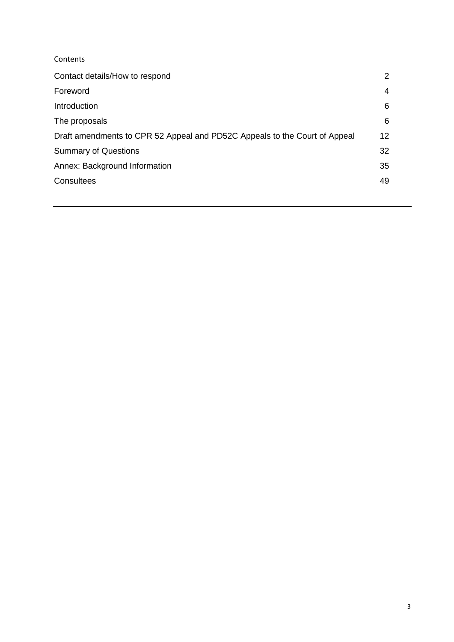| Contents                                                                   |    |  |
|----------------------------------------------------------------------------|----|--|
| Contact details/How to respond                                             | 2  |  |
| Foreword                                                                   | 4  |  |
| Introduction                                                               | 6  |  |
| The proposals                                                              | 6  |  |
| Draft amendments to CPR 52 Appeal and PD52C Appeals to the Court of Appeal | 12 |  |
| <b>Summary of Questions</b>                                                | 32 |  |
| Annex: Background Information                                              | 35 |  |
| Consultees                                                                 | 49 |  |
|                                                                            |    |  |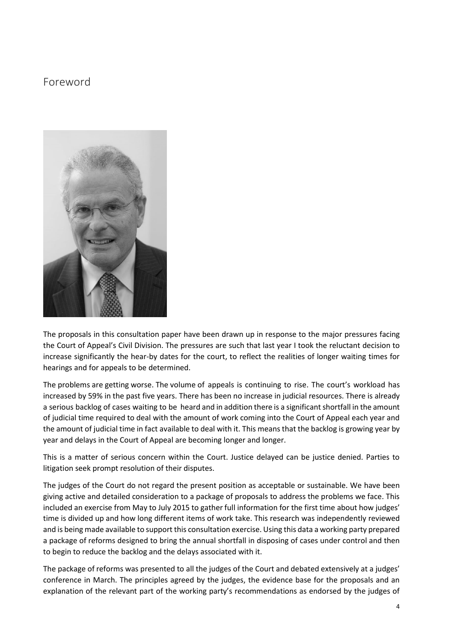# Foreword



The proposals in this consultation paper have been drawn up in response to the major pressures facing the Court of Appeal's Civil Division. The pressures are such that last year I took the reluctant decision to increase significantly the hear-by dates for the court, to reflect the realities of longer waiting times for hearings and for appeals to be determined.

The problems are getting worse. The volume of appeals is continuing to rise. The court's workload has increased by 59% in the past five years. There has been no increase in judicial resources. There is already a serious backlog of cases waiting to be heard and in addition there is a significant shortfall in the amount of judicial time required to deal with the amount of work coming into the Court of Appeal each year and the amount of judicial time in fact available to deal with it. This means that the backlog is growing year by year and delays in the Court of Appeal are becoming longer and longer.

This is a matter of serious concern within the Court. Justice delayed can be justice denied. Parties to litigation seek prompt resolution of their disputes.

The judges of the Court do not regard the present position as acceptable or sustainable. We have been giving active and detailed consideration to a package of proposals to address the problems we face. This included an exercise from May to July 2015 to gather full information for the first time about how judges' time is divided up and how long different items of work take. This research was independently reviewed and is being made available to support this consultation exercise. Using this data a working party prepared a package of reforms designed to bring the annual shortfall in disposing of cases under control and then to begin to reduce the backlog and the delays associated with it.

The package of reforms was presented to all the judges of the Court and debated extensively at a judges' conference in March. The principles agreed by the judges, the evidence base for the proposals and an explanation of the relevant part of the working party's recommendations as endorsed by the judges of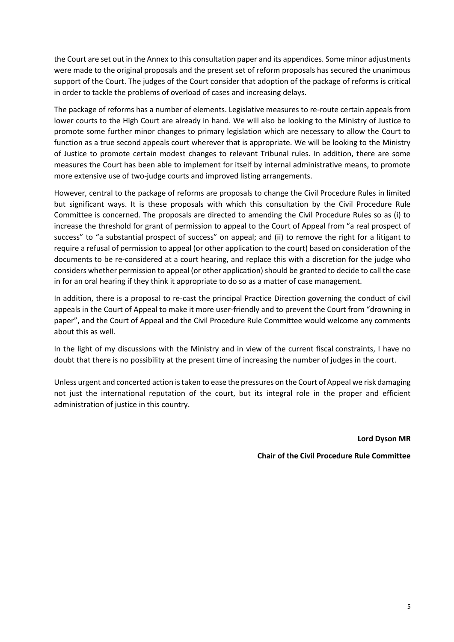the Court are set out in the Annex to this consultation paper and its appendices. Some minor adjustments were made to the original proposals and the present set of reform proposals has secured the unanimous support of the Court. The judges of the Court consider that adoption of the package of reforms is critical in order to tackle the problems of overload of cases and increasing delays.

The package of reforms has a number of elements. Legislative measures to re-route certain appeals from lower courts to the High Court are already in hand. We will also be looking to the Ministry of Justice to promote some further minor changes to primary legislation which are necessary to allow the Court to function as a true second appeals court wherever that is appropriate. We will be looking to the Ministry of Justice to promote certain modest changes to relevant Tribunal rules. In addition, there are some measures the Court has been able to implement for itself by internal administrative means, to promote more extensive use of two-judge courts and improved listing arrangements.

However, central to the package of reforms are proposals to change the Civil Procedure Rules in limited but significant ways. It is these proposals with which this consultation by the Civil Procedure Rule Committee is concerned. The proposals are directed to amending the Civil Procedure Rules so as (i) to increase the threshold for grant of permission to appeal to the Court of Appeal from "a real prospect of success" to "a substantial prospect of success" on appeal; and (ii) to remove the right for a litigant to require a refusal of permission to appeal (or other application to the court) based on consideration of the documents to be re-considered at a court hearing, and replace this with a discretion for the judge who considers whether permission to appeal (or other application) should be granted to decide to call the case in for an oral hearing if they think it appropriate to do so as a matter of case management.

In addition, there is a proposal to re-cast the principal Practice Direction governing the conduct of civil appeals in the Court of Appeal to make it more user-friendly and to prevent the Court from "drowning in paper", and the Court of Appeal and the Civil Procedure Rule Committee would welcome any comments about this as well.

In the light of my discussions with the Ministry and in view of the current fiscal constraints, I have no doubt that there is no possibility at the present time of increasing the number of judges in the court.

Unless urgent and concerted action is taken to ease the pressures on the Court of Appeal we risk damaging not just the international reputation of the court, but its integral role in the proper and efficient administration of justice in this country.

**Lord Dyson MR**

**Chair of the Civil Procedure Rule Committee**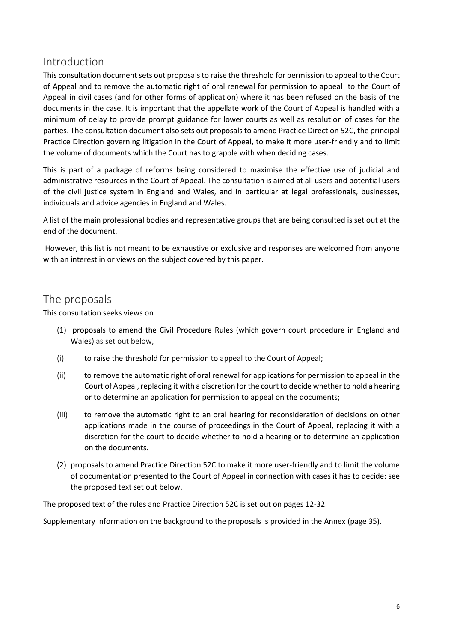# Introduction

This consultation document sets out proposals to raise the threshold for permission to appeal to the Court of Appeal and to remove the automatic right of oral renewal for permission to appeal to the Court of Appeal in civil cases (and for other forms of application) where it has been refused on the basis of the documents in the case. It is important that the appellate work of the Court of Appeal is handled with a minimum of delay to provide prompt guidance for lower courts as well as resolution of cases for the parties. The consultation document also sets out proposals to amend Practice Direction 52C, the principal Practice Direction governing litigation in the Court of Appeal, to make it more user-friendly and to limit the volume of documents which the Court has to grapple with when deciding cases.

This is part of a package of reforms being considered to maximise the effective use of judicial and administrative resources in the Court of Appeal. The consultation is aimed at all users and potential users of the civil justice system in England and Wales, and in particular at legal professionals, businesses, individuals and advice agencies in England and Wales.

A list of the main professional bodies and representative groups that are being consulted is set out at the end of the document.

However, this list is not meant to be exhaustive or exclusive and responses are welcomed from anyone with an interest in or views on the subject covered by this paper.

# The proposals

This consultation seeks views on

- (1) proposals to amend the Civil Procedure Rules (which govern court procedure in [England and](https://en.wikipedia.org/wiki/England_and_Wales)  [Wales\)](https://en.wikipedia.org/wiki/England_and_Wales) as set out below,
- (i) to raise the threshold for permission to appeal to the Court of Appeal;
- (ii) to remove the automatic right of oral renewal for applications for permission to appeal in the Court of Appeal, replacing it with a discretion for the court to decide whether to hold a hearing or to determine an application for permission to appeal on the documents;
- (iii) to remove the automatic right to an oral hearing for reconsideration of decisions on other applications made in the course of proceedings in the Court of Appeal, replacing it with a discretion for the court to decide whether to hold a hearing or to determine an application on the documents.
- (2) proposals to amend Practice Direction 52C to make it more user-friendly and to limit the volume of documentation presented to the Court of Appeal in connection with cases it has to decide: see the proposed text set out below.

The proposed text of the rules and Practice Direction 52C is set out on pages 12-32.

Supplementary information on the background to the proposals is provided in the Annex (page 35).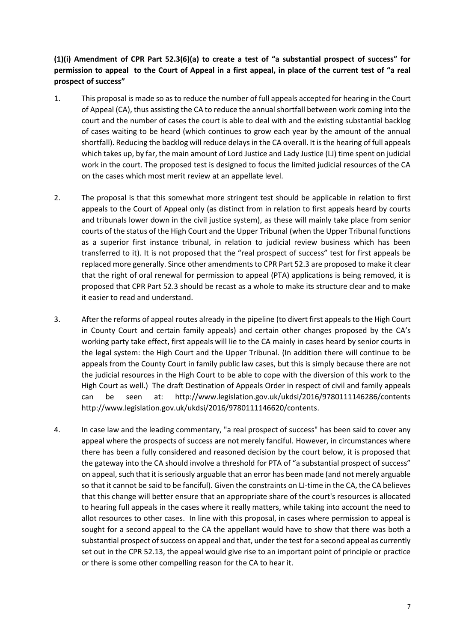## **(1)(i) Amendment of CPR Part 52.3(6)(a) to create a test of "a substantial prospect of success" for permission to appeal to the Court of Appeal in a first appeal, in place of the current test of "a real prospect of success"**

- 1. This proposal is made so as to reduce the number of full appeals accepted for hearing in the Court of Appeal (CA), thus assisting the CA to reduce the annual shortfall between work coming into the court and the number of cases the court is able to deal with and the existing substantial backlog of cases waiting to be heard (which continues to grow each year by the amount of the annual shortfall). Reducing the backlog will reduce delaysin the CA overall. It isthe hearing of full appeals which takes up, by far, the main amount of Lord Justice and Lady Justice (LJ) time spent on judicial work in the court. The proposed test is designed to focus the limited judicial resources of the CA on the cases which most merit review at an appellate level.
- 2. The proposal is that this somewhat more stringent test should be applicable in relation to first appeals to the Court of Appeal only (as distinct from in relation to first appeals heard by courts and tribunals lower down in the civil justice system), as these will mainly take place from senior courts of the status of the High Court and the Upper Tribunal (when the Upper Tribunal functions as a superior first instance tribunal, in relation to judicial review business which has been transferred to it). It is not proposed that the "real prospect of success" test for first appeals be replaced more generally. Since other amendments to CPR Part 52.3 are proposed to make it clear that the right of oral renewal for permission to appeal (PTA) applications is being removed, it is proposed that CPR Part 52.3 should be recast as a whole to make its structure clear and to make it easier to read and understand.
- 3. After the reforms of appeal routes already in the pipeline (to divert first appeals to the High Court in County Court and certain family appeals) and certain other changes proposed by the CA's working party take effect, first appeals will lie to the CA mainly in cases heard by senior courts in the legal system: the High Court and the Upper Tribunal. (In addition there will continue to be appeals from the County Court in family public law cases, but this is simply because there are not the judicial resources in the High Court to be able to cope with the diversion of this work to the High Court as well.) The draft Destination of Appeals Order in respect of civil and family appeals can be seen at: <http://www.legislation.gov.uk/ukdsi/2016/9780111146286/contents> [http://www.legislation.gov.uk/ukdsi/2016/9780111146620/contents.](http://www.legislation.gov.uk/ukdsi/2016/9780111146620/contents)
- 4. In case law and the leading commentary, "a real prospect of success" has been said to cover any appeal where the prospects of success are not merely fanciful. However, in circumstances where there has been a fully considered and reasoned decision by the court below, it is proposed that the gateway into the CA should involve a threshold for PTA of "a substantial prospect of success" on appeal, such that it is seriously arguable that an error has been made (and not merely arguable so that it cannot be said to be fanciful). Given the constraints on LJ-time in the CA, the CA believes that this change will better ensure that an appropriate share of the court's resources is allocated to hearing full appeals in the cases where it really matters, while taking into account the need to allot resources to other cases. In line with this proposal, in cases where permission to appeal is sought for a second appeal to the CA the appellant would have to show that there was both a substantial prospect of success on appeal and that, under the test for a second appeal as currently set out in the CPR 52.13, the appeal would give rise to an important point of principle or practice or there is some other compelling reason for the CA to hear it.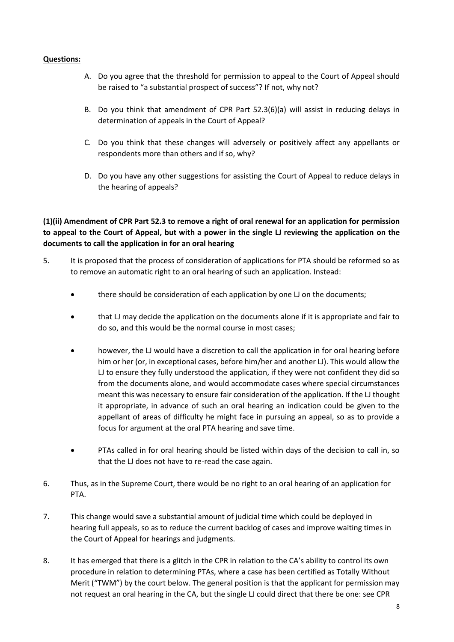## **Questions:**

- A. Do you agree that the threshold for permission to appeal to the Court of Appeal should be raised to "a substantial prospect of success"? If not, why not?
- B. Do you think that amendment of CPR Part 52.3(6)(a) will assist in reducing delays in determination of appeals in the Court of Appeal?
- C. Do you think that these changes will adversely or positively affect any appellants or respondents more than others and if so, why?
- D. Do you have any other suggestions for assisting the Court of Appeal to reduce delays in the hearing of appeals?

## **(1)(ii) Amendment of CPR Part 52.3 to remove a right of oral renewal for an application for permission to appeal to the Court of Appeal, but with a power in the single LJ reviewing the application on the documents to call the application in for an oral hearing**

- 5. It is proposed that the process of consideration of applications for PTA should be reformed so as to remove an automatic right to an oral hearing of such an application. Instead:
	- there should be consideration of each application by one LJ on the documents;
	- that LJ may decide the application on the documents alone if it is appropriate and fair to do so, and this would be the normal course in most cases;
	- however, the LJ would have a discretion to call the application in for oral hearing before him or her (or, in exceptional cases, before him/her and another LJ). This would allow the LJ to ensure they fully understood the application, if they were not confident they did so from the documents alone, and would accommodate cases where special circumstances meant this was necessary to ensure fair consideration of the application. If the LJ thought it appropriate, in advance of such an oral hearing an indication could be given to the appellant of areas of difficulty he might face in pursuing an appeal, so as to provide a focus for argument at the oral PTA hearing and save time.
	- PTAs called in for oral hearing should be listed within days of the decision to call in, so that the LJ does not have to re-read the case again.
- 6. Thus, as in the Supreme Court, there would be no right to an oral hearing of an application for PTA.
- 7. This change would save a substantial amount of judicial time which could be deployed in hearing full appeals, so as to reduce the current backlog of cases and improve waiting times in the Court of Appeal for hearings and judgments.
- 8. It has emerged that there is a glitch in the CPR in relation to the CA's ability to control its own procedure in relation to determining PTAs, where a case has been certified as Totally Without Merit ("TWM") by the court below. The general position is that the applicant for permission may not request an oral hearing in the CA, but the single LJ could direct that there be one: see CPR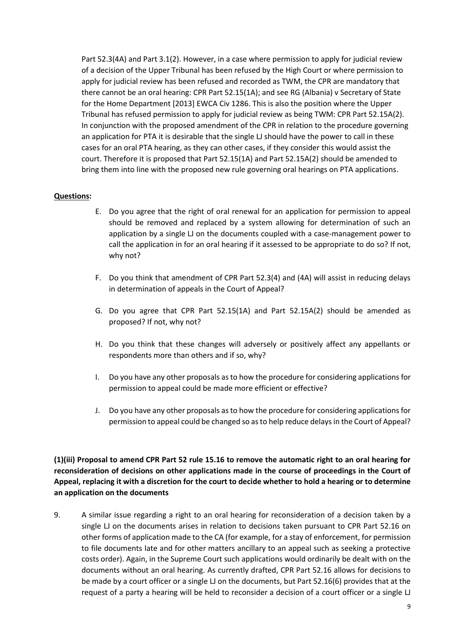Part 52.3(4A) and Part 3.1(2). However, in a case where permission to apply for judicial review of a decision of the Upper Tribunal has been refused by the High Court or where permission to apply for judicial review has been refused and recorded as TWM, the CPR are mandatory that there cannot be an oral hearing: CPR Part 52.15(1A); and see RG (Albania) v Secretary of State for the Home Department [2013] EWCA Civ 1286. This is also the position where the Upper Tribunal has refused permission to apply for judicial review as being TWM: CPR Part 52.15A(2). In conjunction with the proposed amendment of the CPR in relation to the procedure governing an application for PTA it is desirable that the single LJ should have the power to call in these cases for an oral PTA hearing, as they can other cases, if they consider this would assist the court. Therefore it is proposed that Part 52.15(1A) and Part 52.15A(2) should be amended to bring them into line with the proposed new rule governing oral hearings on PTA applications.

## **Questions:**

- E. Do you agree that the right of oral renewal for an application for permission to appeal should be removed and replaced by a system allowing for determination of such an application by a single LJ on the documents coupled with a case-management power to call the application in for an oral hearing if it assessed to be appropriate to do so? If not, why not?
- F. Do you think that amendment of CPR Part 52.3(4) and (4A) will assist in reducing delays in determination of appeals in the Court of Appeal?
- G. Do you agree that CPR Part 52.15(1A) and Part 52.15A(2) should be amended as proposed? If not, why not?
- H. Do you think that these changes will adversely or positively affect any appellants or respondents more than others and if so, why?
- I. Do you have any other proposals as to how the procedure for considering applications for permission to appeal could be made more efficient or effective?
- J. Do you have any other proposals as to how the procedure for considering applications for permission to appeal could be changed so as to help reduce delays in the Court of Appeal?

**(1)(iii) Proposal to amend CPR Part 52 rule 15.16 to remove the automatic right to an oral hearing for reconsideration of decisions on other applications made in the course of proceedings in the Court of Appeal, replacing it with a discretion for the court to decide whether to hold a hearing or to determine an application on the documents**

9. A similar issue regarding a right to an oral hearing for reconsideration of a decision taken by a single LJ on the documents arises in relation to decisions taken pursuant to CPR Part 52.16 on other forms of application made to the CA (for example, for a stay of enforcement, for permission to file documents late and for other matters ancillary to an appeal such as seeking a protective costs order). Again, in the Supreme Court such applications would ordinarily be dealt with on the documents without an oral hearing. As currently drafted, CPR Part 52.16 allows for decisions to be made by a court officer or a single LJ on the documents, but Part 52.16(6) provides that at the request of a party a hearing will be held to reconsider a decision of a court officer or a single LJ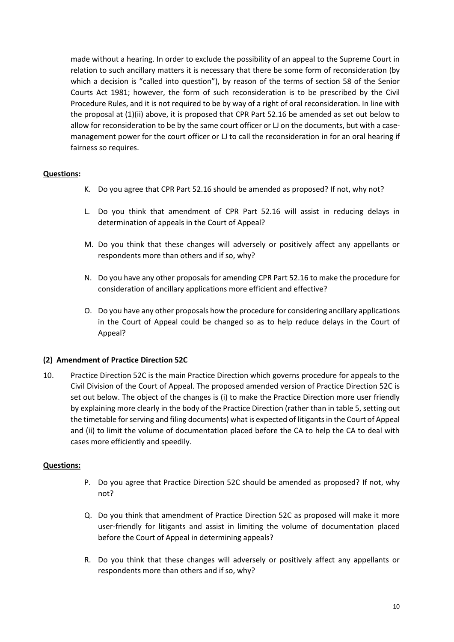made without a hearing. In order to exclude the possibility of an appeal to the Supreme Court in relation to such ancillary matters it is necessary that there be some form of reconsideration (by which a decision is "called into question"), by reason of the terms of section 58 of the Senior Courts Act 1981; however, the form of such reconsideration is to be prescribed by the Civil Procedure Rules, and it is not required to be by way of a right of oral reconsideration. In line with the proposal at (1)(ii) above, it is proposed that CPR Part 52.16 be amended as set out below to allow for reconsideration to be by the same court officer or LJ on the documents, but with a casemanagement power for the court officer or LJ to call the reconsideration in for an oral hearing if fairness so requires.

## **Questions:**

- K. Do you agree that CPR Part 52.16 should be amended as proposed? If not, why not?
- L. Do you think that amendment of CPR Part 52.16 will assist in reducing delays in determination of appeals in the Court of Appeal?
- M. Do you think that these changes will adversely or positively affect any appellants or respondents more than others and if so, why?
- N. Do you have any other proposals for amending CPR Part 52.16 to make the procedure for consideration of ancillary applications more efficient and effective?
- O. Do you have any other proposals how the procedure for considering ancillary applications in the Court of Appeal could be changed so as to help reduce delays in the Court of Appeal?

#### **(2) Amendment of Practice Direction 52C**

10. Practice Direction 52C is the main Practice Direction which governs procedure for appeals to the Civil Division of the Court of Appeal. The proposed amended version of Practice Direction 52C is set out below. The object of the changes is (i) to make the Practice Direction more user friendly by explaining more clearly in the body of the Practice Direction (rather than in table 5, setting out the timetable for serving and filing documents) what is expected of litigants in the Court of Appeal and (ii) to limit the volume of documentation placed before the CA to help the CA to deal with cases more efficiently and speedily.

#### **Questions:**

- P. Do you agree that Practice Direction 52C should be amended as proposed? If not, why not?
- Q. Do you think that amendment of Practice Direction 52C as proposed will make it more user-friendly for litigants and assist in limiting the volume of documentation placed before the Court of Appeal in determining appeals?
- R. Do you think that these changes will adversely or positively affect any appellants or respondents more than others and if so, why?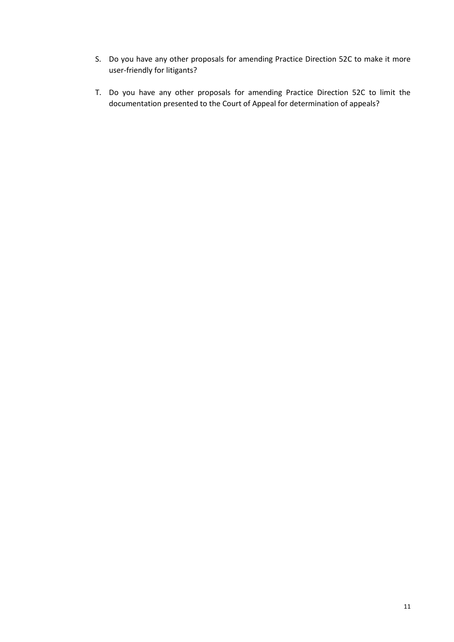- S. Do you have any other proposals for amending Practice Direction 52C to make it more user-friendly for litigants?
- T. Do you have any other proposals for amending Practice Direction 52C to limit the documentation presented to the Court of Appeal for determination of appeals?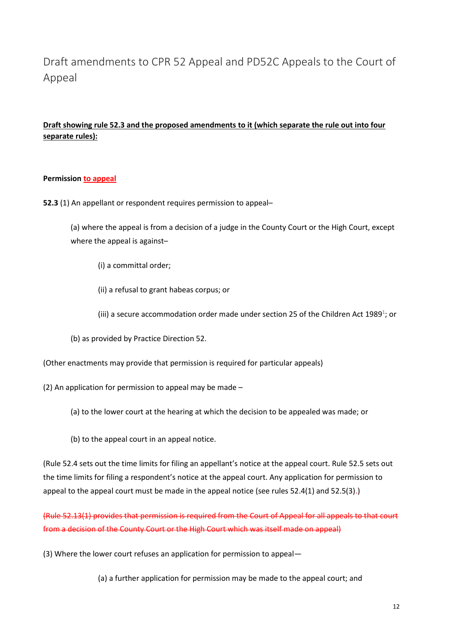# Draft amendments to CPR 52 Appeal and PD52C Appeals to the Court of Appeal

## **Draft showing rule 52.3 and the proposed amendments to it (which separate the rule out into four separate rules):**

## **Permission to appeal**

**52.3** (1) An appellant or respondent requires permission to appeal–

(a) where the appeal is from a decision of a judge in the County Court or the High Court, except where the appeal is against–

(i) a committal order;

(ii) a refusal to grant habeas corpus; or

(iii) a secure accommodation order made under section 25 of the Children Act 1[9](http://www.justice.gov.uk/courts/procedure-rules/civil/rules/part52#fn1)89<sup>1</sup>; or

(b) as provided by Practice Direction 52.

(Other enactments may provide that permission is required for particular appeals)

(2) An application for permission to appeal may be made –

(a) to the lower court at the hearing at which the decision to be appealed was made; or

(b) to the appeal court in an appeal notice.

(Rule 52.4 sets out the time limits for filing an appellant's notice at the appeal court. Rule 52.5 sets out the time limits for filing a respondent's notice at the appeal court. Any application for permission to appeal to the appeal court must be made in the appeal notice (see rules 52.4(1) and 52.5(3).)

(Rule 52.13(1) provides that permission is required from the Court of Appeal for all appeals to that court from a decision of the County Court or the High Court which was itself made on appeal)

(3) Where the lower court refuses an application for permission to appeal—

(a) a further application for permission may be made to the appeal court; and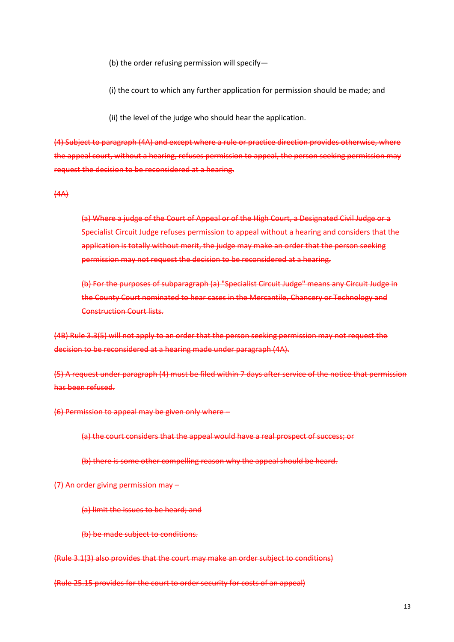(b) the order refusing permission will specify—

(i) the court to which any further application for permission should be made; and

(ii) the level of the judge who should hear the application.

(4) Subject to paragraph (4A) and except where a rule or practice direction provides otherwise, where the appeal court, without a hearing, refuses permission to appeal, the person seeking permission may request the decision to be reconsidered at a hearing.

 $(4A)$ 

(a) Where a judge of the Court of Appeal or of the High Court, a Designated Civil Judge or a Specialist Circuit Judge refuses permission to appeal without a hearing and considers that the application is totally without merit, the judge may make an order that the person seeking permission may not request the decision to be reconsidered at a hearing.

(b) For the purposes of subparagraph (a) "Specialist Circuit Judge" means any Circuit Judge in the County Court nominated to hear cases in the Mercantile, Chancery or Technology and Construction Court lists.

(4B) Rule 3.3(5) will not apply to an order that the person seeking permission may not request the decision to be reconsidered at a hearing made under paragraph (4A).

(5) A request under paragraph (4) must be filed within 7 days after service of the notice that permission has been refused.

(6) Permission to appeal may be given only where –

(a) the court considers that the appeal would have a real prospect of success; or

(b) there is some other compelling reason why the appeal should be heard.

(7) An order giving permission may –

(a) limit the issues to be heard; and

(b) be made subject to conditions.

(Rule 3.1(3) also provides that the court may make an order subject to conditions)

(Rule 25.15 provides for the court to order security for costs of an appeal)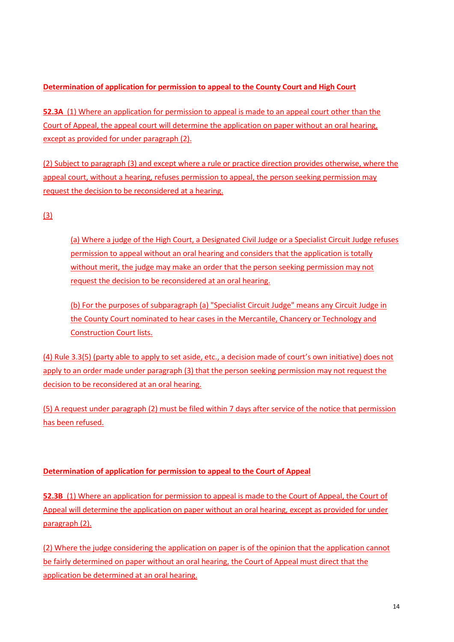## **Determination of application for permission to appeal to the County Court and High Court**

**52.3A** (1) Where an application for permission to appeal is made to an appeal court other than the Court of Appeal, the appeal court will determine the application on paper without an oral hearing, except as provided for under paragraph (2).

(2) Subject to paragraph (3) and except where a rule or practice direction provides otherwise, where the appeal court, without a hearing, refuses permission to appeal, the person seeking permission may request the decision to be reconsidered at a hearing.

## (3)

(a) Where a judge of the High Court, a Designated Civil Judge or a Specialist Circuit Judge refuses permission to appeal without an oral hearing and considers that the application is totally without merit, the judge may make an order that the person seeking permission may not request the decision to be reconsidered at an oral hearing.

(b) For the purposes of subparagraph (a) "Specialist Circuit Judge" means any Circuit Judge in the County Court nominated to hear cases in the Mercantile, Chancery or Technology and Construction Court lists.

(4) Rule 3.3(5) (party able to apply to set aside, etc., a decision made of court's own initiative) does not apply to an order made under paragraph (3) that the person seeking permission may not request the decision to be reconsidered at an oral hearing.

(5) A request under paragraph (2) must be filed within 7 days after service of the notice that permission has been refused.

## **Determination of application for permission to appeal to the Court of Appeal**

**52.3B** (1) Where an application for permission to appeal is made to the Court of Appeal, the Court of Appeal will determine the application on paper without an oral hearing, except as provided for under paragraph (2).

(2) Where the judge considering the application on paper is of the opinion that the application cannot be fairly determined on paper without an oral hearing, the Court of Appeal must direct that the application be determined at an oral hearing.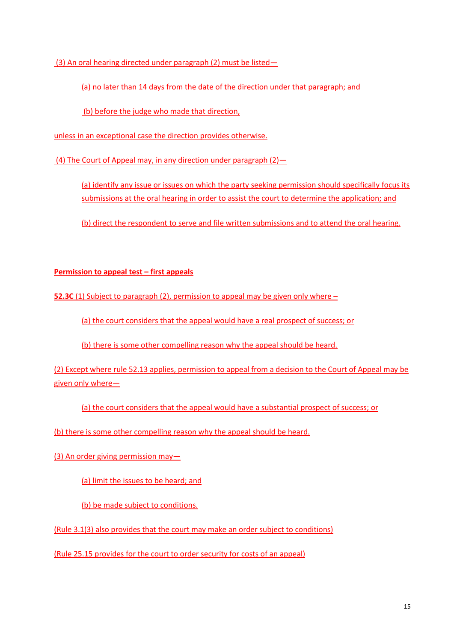(3) An oral hearing directed under paragraph (2) must be listed—

(a) no later than 14 days from the date of the direction under that paragraph; and

(b) before the judge who made that direction,

unless in an exceptional case the direction provides otherwise.

(4) The Court of Appeal may, in any direction under paragraph  $(2)$  -

(a) identify any issue or issues on which the party seeking permission should specifically focus its submissions at the oral hearing in order to assist the court to determine the application; and

(b) direct the respondent to serve and file written submissions and to attend the oral hearing.

## **Permission to appeal test – first appeals**

**52.3C** (1) Subject to paragraph (2), permission to appeal may be given only where –

(a) the court considers that the appeal would have a real prospect of success; or

(b) there is some other compelling reason why the appeal should be heard.

(2) Except where rule 52.13 applies, permission to appeal from a decision to the Court of Appeal may be given only where—

(a) the court considers that the appeal would have a substantial prospect of success; or

(b) there is some other compelling reason why the appeal should be heard.

(3) An order giving permission may—

(a) limit the issues to be heard; and

(b) be made subject to conditions.

(Rule 3.1(3) also provides that the court may make an order subject to conditions)

(Rule 25.15 provides for the court to order security for costs of an appeal)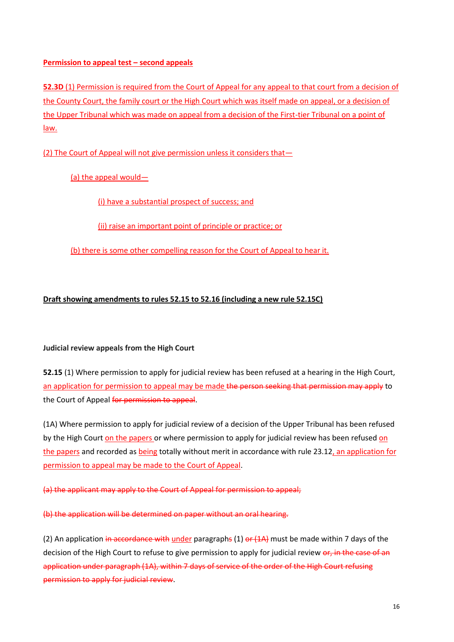## **Permission to appeal test – second appeals**

**52.3D** (1) Permission is required from the Court of Appeal for any appeal to that court from a decision of the County Court, the family court or the High Court which was itself made on appeal, or a decision of the Upper Tribunal which was made on appeal from a decision of the First-tier Tribunal on a point of law.

(2) The Court of Appeal will not give permission unless it considers that—

(a) the appeal would—

(i) have a substantial prospect of success; and

(ii) raise an important point of principle or practice; or

(b) there is some other compelling reason for the Court of Appeal to hear it.

## **Draft showing amendments to rules 52.15 to 52.16 (including a new rule 52.15C)**

## **Judicial review appeals from the High Court**

**52.15** (1) Where permission to apply for judicial review has been refused at a hearing in the High Court, an application for permission to appeal may be made the person seeking that permission may apply to the Court of Appeal for permission to appeal.

(1A) Where permission to apply for judicial review of a decision of the Upper Tribunal has been refused by the High Court on the papers or where permission to apply for judicial review has been refused on the papers and recorded as being totally without merit in accordance with rule 23.12, an application for permission to appeal may be made to the Court of Appeal.

(a) the applicant may apply to the Court of Appeal for permission to appeal;

(b) the application will be determined on paper without an oral hearing.

(2) An application in accordance with under paragraphs  $(1)$  or  $(1)$ A) must be made within 7 days of the decision of the High Court to refuse to give permission to apply for judicial review or, in the case of an application under paragraph (1A), within 7 days of service of the order of the High Court refusing permission to apply for judicial review.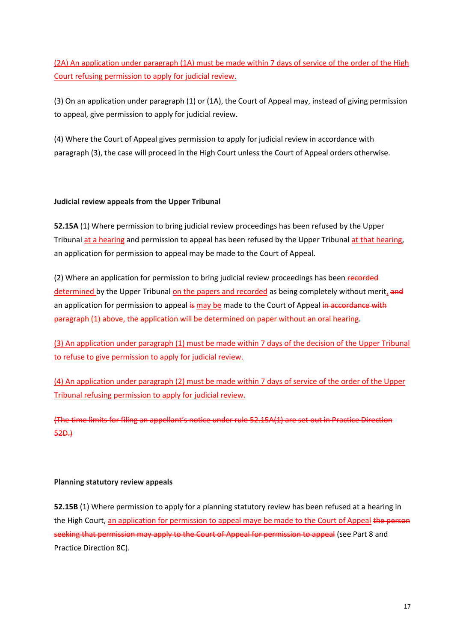(2A) An application under paragraph (1A) must be made within 7 days of service of the order of the High Court refusing permission to apply for judicial review.

(3) On an application under paragraph (1) or (1A), the Court of Appeal may, instead of giving permission to appeal, give permission to apply for judicial review.

(4) Where the Court of Appeal gives permission to apply for judicial review in accordance with paragraph (3), the case will proceed in the High Court unless the Court of Appeal orders otherwise.

## **Judicial review appeals from the Upper Tribunal**

**52.15A** (1) Where permission to bring judicial review proceedings has been refused by the Upper Tribunal at a hearing and permission to appeal has been refused by the Upper Tribunal at that hearing, an application for permission to appeal may be made to the Court of Appeal.

(2) Where an application for permission to bring judicial review proceedings has been recorded determined by the Upper Tribunal on the papers and recorded as being completely without merit, and an application for permission to appeal is may be made to the Court of Appeal in accordance with paragraph (1) above, the application will be determined on paper without an oral hearing.

(3) An application under paragraph (1) must be made within 7 days of the decision of the Upper Tribunal to refuse to give permission to apply for judicial review.

(4) An application under paragraph (2) must be made within 7 days of service of the order of the Upper Tribunal refusing permission to apply for judicial review.

(The time limits for filing an appellant's notice under rule 52.15A(1) are set out in Practice Direction 52D.)

## **Planning statutory review appeals**

**52.15B** (1) Where permission to apply for a planning statutory review has been refused at a hearing in the High Court, an application for permission to appeal maye be made to the Court of Appeal the person seeking that permission may apply to the Court of Appeal for permission to appeal (see Part 8 and Practice Direction 8C).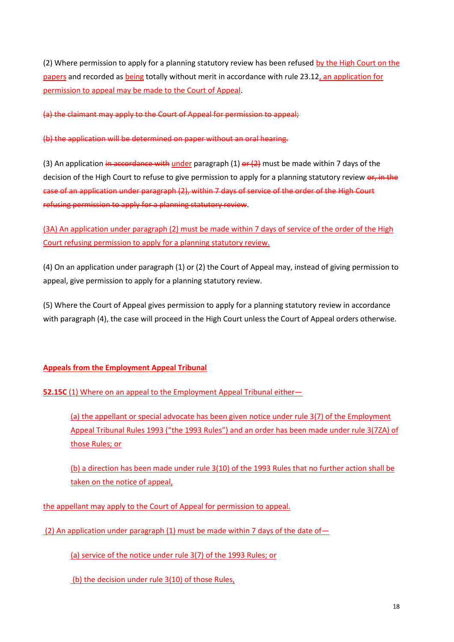(2) Where permission to apply for a planning statutory review has been refused by the High Court on the papers and recorded as being totally without merit in accordance with rule 23.12, an application for permission to appeal may be made to the Court of Appeal.

(a) the claimant may apply to the Court of Appeal for permission to appeal;

(b) the application will be determined on paper without an oral hearing.

(3) An application in accordance with under paragraph (1) or  $(2)$  must be made within 7 days of the decision of the High Court to refuse to give permission to apply for a planning statutory review or, in the case of an application under paragraph (2), within 7 days of service of the order of the High Court refusing permission to apply for a planning statutory review.

(3A) An application under paragraph (2) must be made within 7 days of service of the order of the High Court refusing permission to apply for a planning statutory review.

(4) On an application under paragraph (1) or (2) the Court of Appeal may, instead of giving permission to appeal, give permission to apply for a planning statutory review.

(5) Where the Court of Appeal gives permission to apply for a planning statutory review in accordance with paragraph (4), the case will proceed in the High Court unless the Court of Appeal orders otherwise.

## **Appeals from the Employment Appeal Tribunal**

**52.15C (1) Where on an appeal to the Employment Appeal Tribunal either-**

(a) the appellant or special advocate has been given notice under rule 3(7) of the Employment Appeal Tribunal Rules 1993 ("the 1993 Rules") and an order has been made under rule 3(7ZA) of those Rules; or

(b) a direction has been made under rule 3(10) of the 1993 Rules that no further action shall be taken on the notice of appeal,

the appellant may apply to the Court of Appeal for permission to appeal.

(2) An application under paragraph (1) must be made within 7 days of the date of  $-$ 

(a) service of the notice under rule 3(7) of the 1993 Rules; or

(b) the decision under rule 3(10) of those Rules,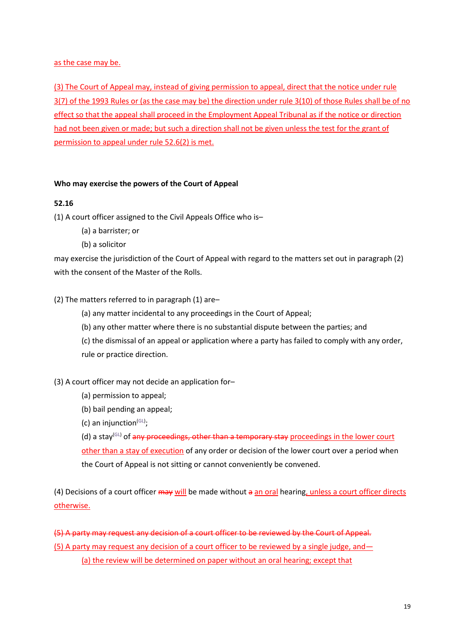## as the case may be.

(3) The Court of Appeal may, instead of giving permission to appeal, direct that the notice under rule 3(7) of the 1993 Rules or (as the case may be) the direction under rule 3(10) of those Rules shall be of no effect so that the appeal shall proceed in the Employment Appeal Tribunal as if the notice or direction had not been given or made; but such a direction shall not be given unless the test for the grant of permission to appeal under rule 52.6(2) is met.

## **Who may exercise the powers of the Court of Appeal**

## **52.16**

(1) A court officer assigned to the Civil Appeals Office who is–

- (a) a barrister; or
- (b) a solicitor

may exercise the jurisdiction of the Court of Appeal with regard to the matters set out in paragraph (2) with the consent of the Master of the Rolls.

## (2) The matters referred to in paragraph (1) are–

(a) any matter incidental to any proceedings in the Court of Appeal;

(b) any other matter where there is no substantial dispute between the parties; and

(c) the dismissal of an appeal or application where a party has failed to comply with any order, rule or practice direction.

## (3) A court officer may not decide an application for–

- (a) permission to appeal;
- (b) bail pending an appeal;
- (c) an injunction<sup>[\(GL\)](https://www.justice.gov.uk/courts/procedure-rules/civil/glossary)</sup>;

(d) a stay<sup>[\(GL\)](https://www.justice.gov.uk/courts/procedure-rules/civil/glossary)</sup> of any proceedings, other than a temporary stay proceedings in the lower court other than a stay of execution of any order or decision of the lower court over a period when the Court of Appeal is not sitting or cannot conveniently be convened.

(4) Decisions of a court officer may will be made without a an oral hearing, unless a court officer directs otherwise.

(5) A party may request any decision of a court officer to be reviewed by the Court of Appeal*.* (5) A party may request any decision of a court officer to be reviewed by a single judge, and— (a) the review will be determined on paper without an oral hearing; except that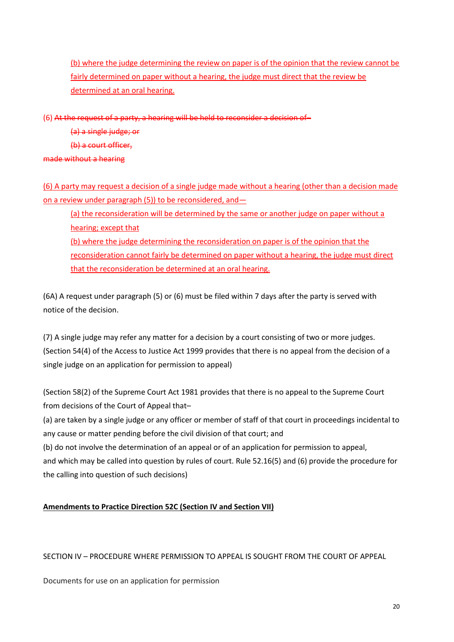(b) where the judge determining the review on paper is of the opinion that the review cannot be fairly determined on paper without a hearing, the judge must direct that the review be determined at an oral hearing.

(6) At the request of a party, a hearing will be held to reconsider a decision of–

(a) a single judge; or

(b) a court officer,

made without a hearing

(6) A party may request a decision of a single judge made without a hearing (other than a decision made on a review under paragraph (5)) to be reconsidered, and—

(a) the reconsideration will be determined by the same or another judge on paper without a hearing; except that (b) where the judge determining the reconsideration on paper is of the opinion that the reconsideration cannot fairly be determined on paper without a hearing, the judge must direct that the reconsideration be determined at an oral hearing.

(6A) A request under paragraph (5) or (6) must be filed within 7 days after the party is served with notice of the decision.

(7) A single judge may refer any matter for a decision by a court consisting of two or more judges. (Section 54(4) of the Access to Justice Act 1999 provides that there is no appeal from the decision of a single judge on an application for permission to appeal)

(Section 58(2) of the Supreme Court Act 1981 provides that there is no appeal to the Supreme Court from decisions of the Court of Appeal that–

(a) are taken by a single judge or any officer or member of staff of that court in proceedings incidental to any cause or matter pending before the civil division of that court; and

(b) do not involve the determination of an appeal or of an application for permission to appeal, and which may be called into question by rules of court. Rule 52.16(5) and (6) provide the procedure for the calling into question of such decisions)

## **Amendments to Practice Direction 52C (Section IV and Section VII)**

## SECTION IV – PROCEDURE WHERE PERMISSION TO APPEAL IS SOUGHT FROM THE COURT OF APPEAL

Documents for use on an application for permission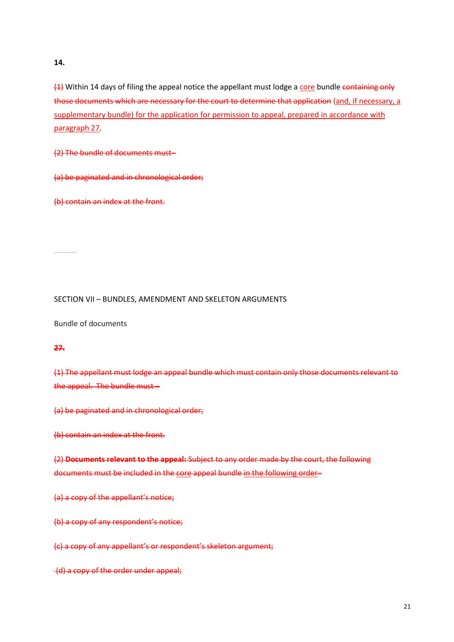**14.**

 $\frac{1}{2}$  Within 14 days of filing the appeal notice the appellant must lodge a core bundle containing only those documents which are necessary for the court to determine that application (and, if necessary, a supplementary bundle) for the application for permission to appeal, prepared in accordance with paragraph 27.

(2) The bundle of documents must–

(a) be paginated and in chronological order;

(b) contain an index at the front.

……………

#### SECTION VII – BUNDLES, AMENDMENT AND SKELETON ARGUMENTS

Bundle of documents

## **27.**

(1) The appellant must lodge an appeal bundle which must contain only those documents relevant to the appeal. The bundle must –

(a) be paginated and in chronological order;

(b) contain an index at the front.

(2) **Documents relevant to the appeal:** Subject to any order made by the court, the following documents must be included in the core appeal bundle in the following order–

(a) a copy of the appellant's notice;

(b) a copy of any respondent's notice;

(c) a copy of any appellant's or respondent's skeleton argument;

(d) a copy of the order under appeal;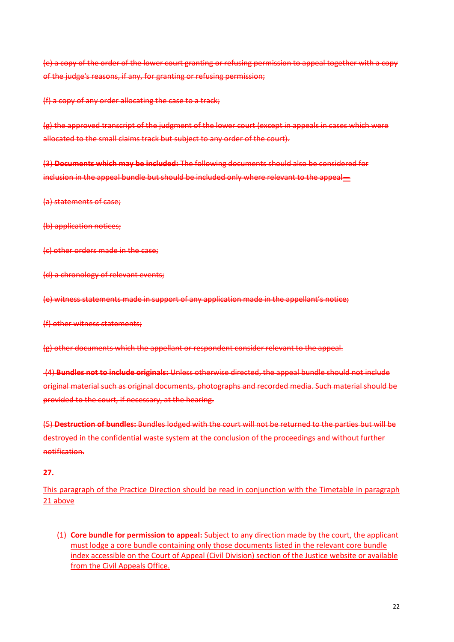(e) a copy of the order of the lower court granting or refusing permission to appeal together with a copy of the judge's reasons, if any, for granting or refusing permission;

(f) a copy of any order allocating the case to a track;

(g) the approved transcript of the judgment of the lower court (except in appeals in cases which were allocated to the small claims track but subject to any order of the court).

(3) **Documents which may be included:** The following documents should also be considered for inclusion in the appeal bundle but should be included only where relevant to the appeal—

(a) statements of case;

(b) application notices;

(c) other orders made in the case;

(d) a chronology of relevant events;

(e) witness statements made in support of any application made in the appellant's notice;

(f) other witness statements;

(g) other documents which the appellant or respondent consider relevant to the appeal.

(4) **Bundles not to include originals:** Unless otherwise directed, the appeal bundle should not include original material such as original documents, photographs and recorded media. Such material should be provided to the court, if necessary, at the hearing.

(5) **Destruction of bundles:** Bundles lodged with the court will not be returned to the parties but will be destroyed in the confidential waste system at the conclusion of the proceedings and without further notification.

## **27.**

This paragraph of the Practice Direction should be read in conjunction with the Timetable in paragraph 21 above

(1) **Core bundle for permission to appeal:** Subject to any direction made by the court, the applicant must lodge a core bundle containing only those documents listed in the relevant core bundle index accessible on the Court of Appeal (Civil Division) section of the Justice website or available from the Civil Appeals Office.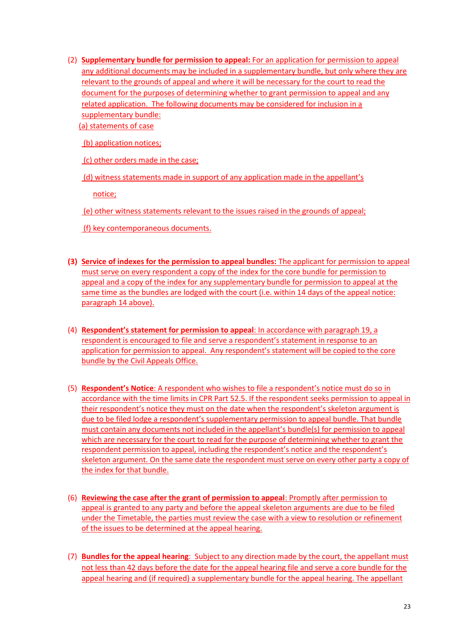(2) **Supplementary bundle for permission to appeal:** For an application for permission to appeal any additional documents may be included in a supplementary bundle, but only where they are relevant to the grounds of appeal and where it will be necessary for the court to read the document for the purposes of determining whether to grant permission to appeal and any related application. The following documents may be considered for inclusion in a supplementary bundle:

(a) statements of case

(b) application notices;

(c) other orders made in the case;

(d) witness statements made in support of any application made in the appellant's

notice;

(e) other witness statements relevant to the issues raised in the grounds of appeal;

(f) key contemporaneous documents.

- **(3) Service of indexes for the permission to appeal bundles:** The applicant for permission to appeal must serve on every respondent a copy of the index for the core bundle for permission to appeal and a copy of the index for any supplementary bundle for permission to appeal at the same time as the bundles are lodged with the court (i.e. within 14 days of the appeal notice: paragraph 14 above).
- (4) **Respondent's statement for permission to appeal**: In accordance with paragraph 19, a respondent is encouraged to file and serve a respondent's statement in response to an application for permission to appeal. Any respondent's statement will be copied to the core bundle by the Civil Appeals Office.
- (5) **Respondent's Notice**: A respondent who wishes to file a respondent's notice must do so in accordance with the time limits in CPR Part 52.5. If the respondent seeks permission to appeal in their respondent's notice they must on the date when the respondent's skeleton argument is due to be filed lodge a respondent's supplementary permission to appeal bundle. That bundle must contain any documents not included in the appellant's bundle(s) for permission to appeal which are necessary for the court to read for the purpose of determining whether to grant the respondent permission to appeal, including the respondent's notice and the respondent's skeleton argument. On the same date the respondent must serve on every other party a copy of the index for that bundle.
- (6) **Reviewing the case after the grant of permission to appeal**: Promptly after permission to appeal is granted to any party and before the appeal skeleton arguments are due to be filed under the Timetable, the parties must review the case with a view to resolution or refinement of the issues to be determined at the appeal hearing.
- (7) **Bundles for the appeal hearing**: Subject to any direction made by the court, the appellant must not less than 42 days before the date for the appeal hearing file and serve a core bundle for the appeal hearing and (if required) a supplementary bundle for the appeal hearing. The appellant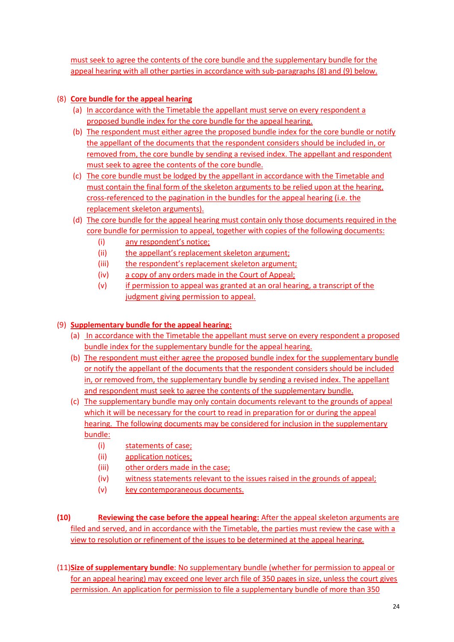must seek to agree the contents of the core bundle and the supplementary bundle for the appeal hearing with all other parties in accordance with sub-paragraphs (8) and (9) below.

## (8) **Core bundle for the appeal hearing**

- (a) In accordance with the Timetable the appellant must serve on every respondent a proposed bundle index for the core bundle for the appeal hearing.
- (b) The respondent must either agree the proposed bundle index for the core bundle or notify the appellant of the documents that the respondent considers should be included in, or removed from, the core bundle by sending a revised index. The appellant and respondent must seek to agree the contents of the core bundle.
- (c) The core bundle must be lodged by the appellant in accordance with the Timetable and must contain the final form of the skeleton arguments to be relied upon at the hearing, cross-referenced to the pagination in the bundles for the appeal hearing (i.e. the replacement skeleton arguments).
- (d) The core bundle for the appeal hearing must contain only those documents required in the core bundle for permission to appeal, together with copies of the following documents:
	- (i) any respondent's notice;
	- (ii) the appellant's replacement skeleton argument;
	- (iii) the respondent's replacement skeleton argument;
	- (iv) a copy of any orders made in the Court of Appeal;
	- (v) if permission to appeal was granted at an oral hearing, a transcript of the judgment giving permission to appeal.

## (9) **Supplementary bundle for the appeal hearing:**

- (a) In accordance with the Timetable the appellant must serve on every respondent a proposed bundle index for the supplementary bundle for the appeal hearing.
- (b) The respondent must either agree the proposed bundle index for the supplementary bundle or notify the appellant of the documents that the respondent considers should be included in, or removed from, the supplementary bundle by sending a revised index. The appellant and respondent must seek to agree the contents of the supplementary bundle.
- (c) The supplementary bundle may only contain documents relevant to the grounds of appeal which it will be necessary for the court to read in preparation for or during the appeal hearing. The following documents may be considered for inclusion in the supplementary bundle:
	- (i) statements of case;
	- (ii) application notices;
	- (iii) other orders made in the case;
	- (iv) witness statements relevant to the issues raised in the grounds of appeal;
	- (v) key contemporaneous documents.
- **(10) Reviewing the case before the appeal hearing:** After the appeal skeleton arguments are filed and served, and in accordance with the Timetable, the parties must review the case with a view to resolution or refinement of the issues to be determined at the appeal hearing.
- (11)**Size of supplementary bundle**: No supplementary bundle (whether for permission to appeal or for an appeal hearing) may exceed one lever arch file of 350 pages in size, unless the court gives permission. An application for permission to file a supplementary bundle of more than 350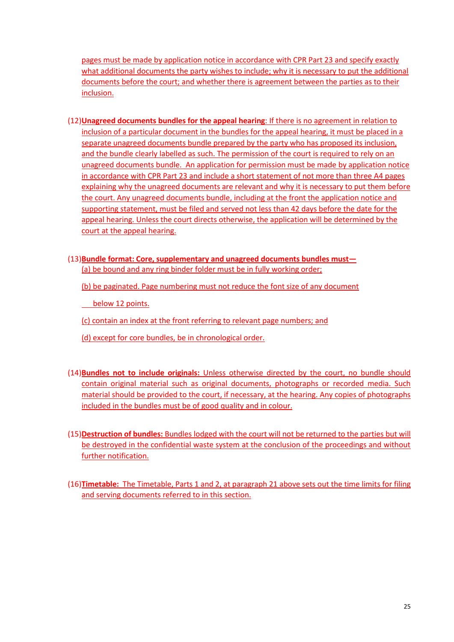pages must be made by application notice in accordance with CPR Part 23 and specify exactly what additional documents the party wishes to include; why it is necessary to put the additional documents before the court; and whether there is agreement between the parties as to their inclusion.

- (12)**Unagreed documents bundles for the appeal hearing**: If there is no agreement in relation to inclusion of a particular document in the bundles for the appeal hearing, it must be placed in a separate unagreed documents bundle prepared by the party who has proposed its inclusion, and the bundle clearly labelled as such. The permission of the court is required to rely on an unagreed documents bundle. An application for permission must be made by application notice in accordance with CPR Part 23 and include a short statement of not more than three A4 pages explaining why the unagreed documents are relevant and why it is necessary to put them before the court. Any unagreed documents bundle, including at the front the application notice and supporting statement, must be filed and served not less than 42 days before the date for the appeal hearing. Unless the court directs otherwise, the application will be determined by the court at the appeal hearing.
- (13)**Bundle format: Core, supplementary and unagreed documents bundles must—** (a) be bound and any ring binder folder must be in fully working order;
	- (b) be paginated. Page numbering must not reduce the font size of any document
	- below 12 points.

(c) contain an index at the front referring to relevant page numbers; and

- (d) except for core bundles, be in chronological order.
- (14)**Bundles not to include originals:** Unless otherwise directed by the court, no bundle should contain original material such as original documents, photographs or recorded media. Such material should be provided to the court, if necessary, at the hearing. Any copies of photographs included in the bundles must be of good quality and in colour.
- (15)**Destruction of bundles:** Bundles lodged with the court will not be returned to the parties but will be destroyed in the confidential waste system at the conclusion of the proceedings and without further notification.
- (16)**Timetable:** The Timetable, Parts 1 and 2, at paragraph 21 above sets out the time limits for filing and serving documents referred to in this section.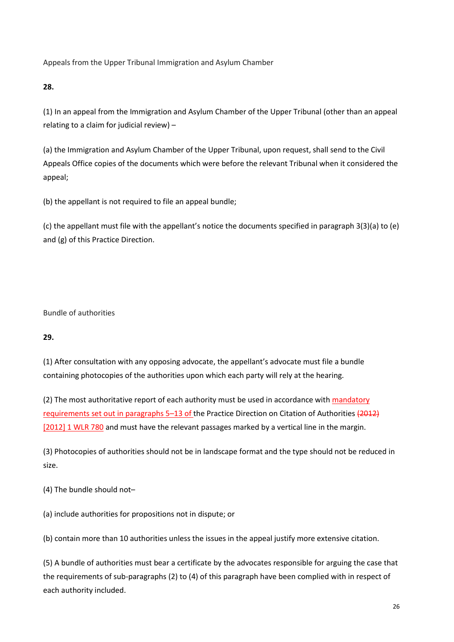Appeals from the Upper Tribunal Immigration and Asylum Chamber

**28.**

(1) In an appeal from the Immigration and Asylum Chamber of the Upper Tribunal (other than an appeal relating to a claim for judicial review) –

(a) the Immigration and Asylum Chamber of the Upper Tribunal, upon request, shall send to the Civil Appeals Office copies of the documents which were before the relevant Tribunal when it considered the appeal;

(b) the appellant is not required to file an appeal bundle;

(c) the appellant must file with the appellant's notice the documents specified in paragraph 3(3)(a) to (e) and (g) of this Practice Direction.

Bundle of authorities

**29.**

(1) After consultation with any opposing advocate, the appellant's advocate must file a bundle containing photocopies of the authorities upon which each party will rely at the hearing.

(2) The most authoritative report of each authority must be used in accordance with mandatory requirements set out in paragraphs 5–13 of the Practice Direction on Citation of Authorities (2012) [2012] 1 WLR 780 and must have the relevant passages marked by a vertical line in the margin.

(3) Photocopies of authorities should not be in landscape format and the type should not be reduced in size.

(4) The bundle should not–

(a) include authorities for propositions not in dispute; or

(b) contain more than 10 authorities unless the issues in the appeal justify more extensive citation.

(5) A bundle of authorities must bear a certificate by the advocates responsible for arguing the case that the requirements of sub-paragraphs (2) to (4) of this paragraph have been complied with in respect of each authority included.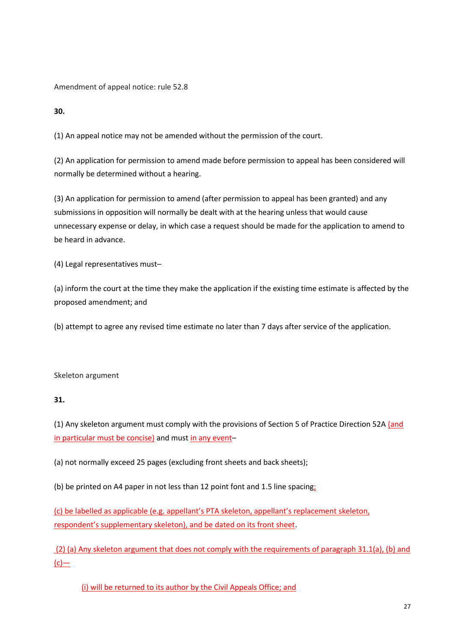Amendment of appeal notice: rule 52.8

**30.**

(1) An appeal notice may not be amended without the permission of the court.

(2) An application for permission to amend made before permission to appeal has been considered will normally be determined without a hearing.

(3) An application for permission to amend (after permission to appeal has been granted) and any submissions in opposition will normally be dealt with at the hearing unless that would cause unnecessary expense or delay, in which case a request should be made for the application to amend to be heard in advance.

(4) Legal representatives must–

(a) inform the court at the time they make the application if the existing time estimate is affected by the proposed amendment; and

(b) attempt to agree any revised time estimate no later than 7 days after service of the application.

Skeleton argument

## **31.**

(1) Any skeleton argument must comply with the provisions of Section 5 of Practice Direction 52A (and in particular must be concise) and must in any event–

(a) not normally exceed 25 pages (excluding front sheets and back sheets);

(b) be printed on A4 paper in not less than 12 point font and 1.5 line spacing;

(c) be labelled as applicable (e.g. appellant's PTA skeleton, appellant's replacement skeleton, respondent's supplementary skeleton), and be dated on its front sheet.

(2) (a) Any skeleton argument that does not comply with the requirements of paragraph 31.1(a), (b) and  $(c)$ —

(i) will be returned to its author by the Civil Appeals Office; and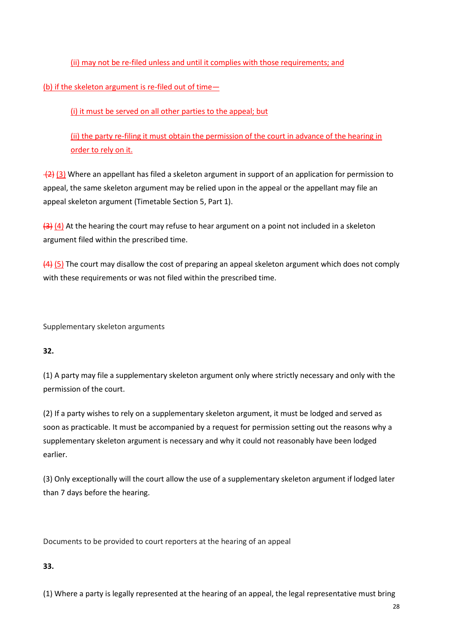(ii) may not be re-filed unless and until it complies with those requirements; and

(b) if the skeleton argument is re-filed out of time—

(i) it must be served on all other parties to the appeal; but

(ii) the party re-filing it must obtain the permission of the court in advance of the hearing in order to rely on it.

(3) Where an appellant has filed a skeleton argument in support of an application for permission to appeal, the same skeleton argument may be relied upon in the appeal or the appellant may file an appeal skeleton argument (Timetable Section 5, Part 1).

 $\left(4\right)$  (4) At the hearing the court may refuse to hear argument on a point not included in a skeleton argument filed within the prescribed time.

(4) (5) The court may disallow the cost of preparing an appeal skeleton argument which does not comply with these requirements or was not filed within the prescribed time.

Supplementary skeleton arguments

## **32.**

(1) A party may file a supplementary skeleton argument only where strictly necessary and only with the permission of the court.

(2) If a party wishes to rely on a supplementary skeleton argument, it must be lodged and served as soon as practicable. It must be accompanied by a request for permission setting out the reasons why a supplementary skeleton argument is necessary and why it could not reasonably have been lodged earlier.

(3) Only exceptionally will the court allow the use of a supplementary skeleton argument if lodged later than 7 days before the hearing.

Documents to be provided to court reporters at the hearing of an appeal

## **33.**

(1) Where a party is legally represented at the hearing of an appeal, the legal representative must bring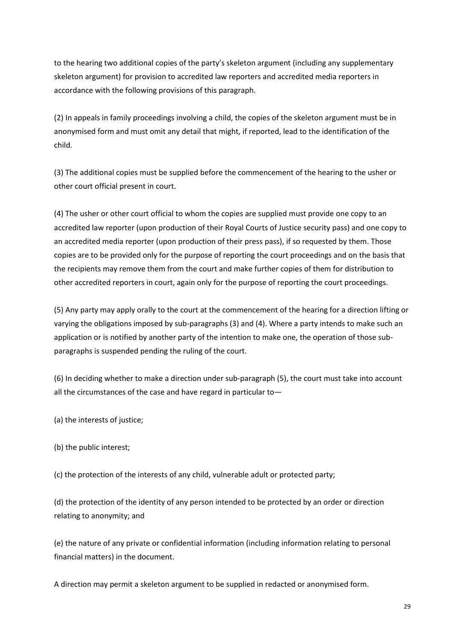to the hearing two additional copies of the party's skeleton argument (including any supplementary skeleton argument) for provision to accredited law reporters and accredited media reporters in accordance with the following provisions of this paragraph.

(2) In appeals in family proceedings involving a child, the copies of the skeleton argument must be in anonymised form and must omit any detail that might, if reported, lead to the identification of the child.

(3) The additional copies must be supplied before the commencement of the hearing to the usher or other court official present in court.

(4) The usher or other court official to whom the copies are supplied must provide one copy to an accredited law reporter (upon production of their Royal Courts of Justice security pass) and one copy to an accredited media reporter (upon production of their press pass), if so requested by them. Those copies are to be provided only for the purpose of reporting the court proceedings and on the basis that the recipients may remove them from the court and make further copies of them for distribution to other accredited reporters in court, again only for the purpose of reporting the court proceedings.

(5) Any party may apply orally to the court at the commencement of the hearing for a direction lifting or varying the obligations imposed by sub-paragraphs (3) and (4). Where a party intends to make such an application or is notified by another party of the intention to make one, the operation of those subparagraphs is suspended pending the ruling of the court.

(6) In deciding whether to make a direction under sub-paragraph (5), the court must take into account all the circumstances of the case and have regard in particular to—

(a) the interests of justice;

(b) the public interest;

(c) the protection of the interests of any child, vulnerable adult or protected party;

(d) the protection of the identity of any person intended to be protected by an order or direction relating to anonymity; and

(e) the nature of any private or confidential information (including information relating to personal financial matters) in the document.

A direction may permit a skeleton argument to be supplied in redacted or anonymised form.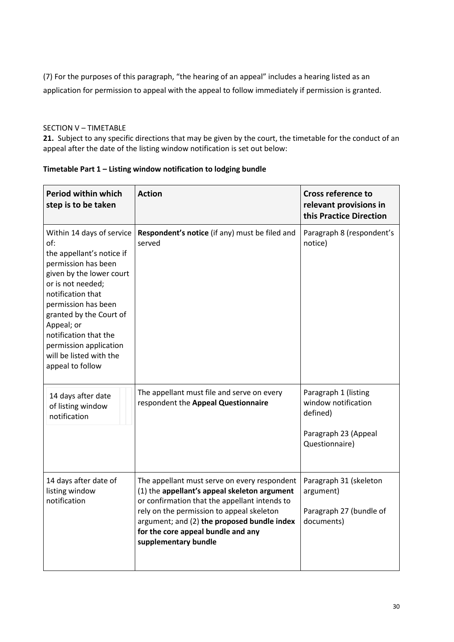(7) For the purposes of this paragraph, "the hearing of an appeal" includes a hearing listed as an application for permission to appeal with the appeal to follow immediately if permission is granted.

## SECTION V – TIMETABLE

**21.** Subject to any specific directions that may be given by the court, the timetable for the conduct of an appeal after the date of the listing window notification is set out below:

| Period within which<br>step is to be taken                                                                                                                                                                                                                                                                                   | <b>Action</b>                                                                                                                                                                                                                                                                                           | <b>Cross reference to</b><br>relevant provisions in<br>this Practice Direction                    |
|------------------------------------------------------------------------------------------------------------------------------------------------------------------------------------------------------------------------------------------------------------------------------------------------------------------------------|---------------------------------------------------------------------------------------------------------------------------------------------------------------------------------------------------------------------------------------------------------------------------------------------------------|---------------------------------------------------------------------------------------------------|
| Within 14 days of service<br>of:<br>the appellant's notice if<br>permission has been<br>given by the lower court<br>or is not needed;<br>notification that<br>permission has been<br>granted by the Court of<br>Appeal; or<br>notification that the<br>permission application<br>will be listed with the<br>appeal to follow | Respondent's notice (if any) must be filed and<br>served                                                                                                                                                                                                                                                | Paragraph 8 (respondent's<br>notice)                                                              |
| 14 days after date<br>of listing window<br>notification                                                                                                                                                                                                                                                                      | The appellant must file and serve on every<br>respondent the Appeal Questionnaire                                                                                                                                                                                                                       | Paragraph 1 (listing<br>window notification<br>defined)<br>Paragraph 23 (Appeal<br>Questionnaire) |
| 14 days after date of<br>listing window<br>notification                                                                                                                                                                                                                                                                      | The appellant must serve on every respondent<br>(1) the appellant's appeal skeleton argument<br>or confirmation that the appellant intends to<br>rely on the permission to appeal skeleton<br>argument; and (2) the proposed bundle index<br>for the core appeal bundle and any<br>supplementary bundle | Paragraph 31 (skeleton<br>argument)<br>Paragraph 27 (bundle of<br>documents)                      |

## **Timetable Part 1 – Listing window notification to lodging bundle**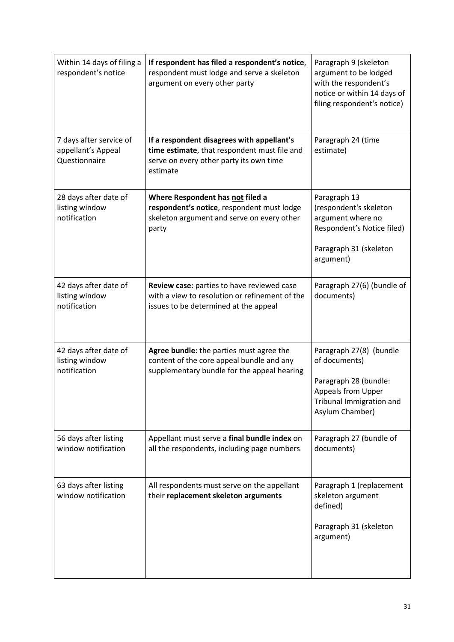| Within 14 days of filing a<br>respondent's notice              | If respondent has filed a respondent's notice,<br>respondent must lodge and serve a skeleton<br>argument on every other party                     | Paragraph 9 (skeleton<br>argument to be lodged<br>with the respondent's<br>notice or within 14 days of<br>filing respondent's notice)         |
|----------------------------------------------------------------|---------------------------------------------------------------------------------------------------------------------------------------------------|-----------------------------------------------------------------------------------------------------------------------------------------------|
| 7 days after service of<br>appellant's Appeal<br>Questionnaire | If a respondent disagrees with appellant's<br>time estimate, that respondent must file and<br>serve on every other party its own time<br>estimate | Paragraph 24 (time<br>estimate)                                                                                                               |
| 28 days after date of<br>listing window<br>notification        | Where Respondent has not filed a<br>respondent's notice, respondent must lodge<br>skeleton argument and serve on every other<br>party             | Paragraph 13<br>(respondent's skeleton<br>argument where no<br>Respondent's Notice filed)<br>Paragraph 31 (skeleton<br>argument)              |
| 42 days after date of<br>listing window<br>notification        | Review case: parties to have reviewed case<br>with a view to resolution or refinement of the<br>issues to be determined at the appeal             | Paragraph 27(6) (bundle of<br>documents)                                                                                                      |
| 42 days after date of<br>listing window<br>notification        | Agree bundle: the parties must agree the<br>content of the core appeal bundle and any<br>supplementary bundle for the appeal hearing              | Paragraph 27(8) (bundle<br>of documents)<br>Paragraph 28 (bundle:<br><b>Appeals from Upper</b><br>Tribunal Immigration and<br>Asylum Chamber) |
| 56 days after listing<br>window notification                   | Appellant must serve a final bundle index on<br>all the respondents, including page numbers                                                       | Paragraph 27 (bundle of<br>documents)                                                                                                         |
| 63 days after listing<br>window notification                   | All respondents must serve on the appellant<br>their replacement skeleton arguments                                                               | Paragraph 1 (replacement<br>skeleton argument<br>defined)<br>Paragraph 31 (skeleton<br>argument)                                              |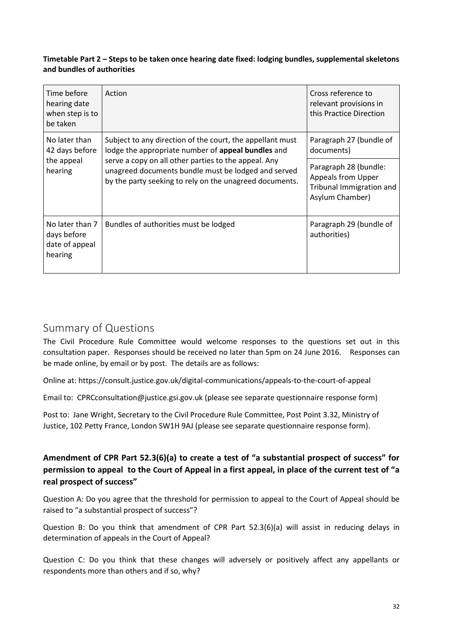## **Timetable Part 2 – Steps to be taken once hearing date fixed: lodging bundles, supplemental skeletons and bundles of authorities**

| Time before<br>hearing date<br>when step is to<br>be taken  | Action                                                                                                                                                                                                                                                                                    | Cross reference to<br>relevant provisions in<br>this Practice Direction                    |
|-------------------------------------------------------------|-------------------------------------------------------------------------------------------------------------------------------------------------------------------------------------------------------------------------------------------------------------------------------------------|--------------------------------------------------------------------------------------------|
| No later than<br>42 days before<br>the appeal<br>hearing    | Subject to any direction of the court, the appellant must<br>lodge the appropriate number of appeal bundles and<br>serve a copy on all other parties to the appeal. Any<br>unagreed documents bundle must be lodged and served<br>by the party seeking to rely on the unagreed documents. | Paragraph 27 (bundle of<br>documents)                                                      |
|                                                             |                                                                                                                                                                                                                                                                                           | Paragraph 28 (bundle:<br>Appeals from Upper<br>Tribunal Immigration and<br>Asylum Chamber) |
| No later than 7<br>days before<br>date of appeal<br>hearing | Bundles of authorities must be lodged                                                                                                                                                                                                                                                     | Paragraph 29 (bundle of<br>authorities)                                                    |

# Summary of Questions

The Civil Procedure Rule Committee would welcome responses to the questions set out in this consultation paper. Responses should be received no later than 5pm on 24 June 2016. Responses can be made online, by email or by post. The details are as follows:

Online at:<https://consult.justice.gov.uk/digital-communications/appeals-to-the-court-of-appeal>

Email to: [CPRCconsultation@justice.gsi.gov.uk](mailto:CPRCconsultation@justice.gsi.gov.uk) (please see separate questionnaire response form)

Post to: Jane Wright, Secretary to the Civil Procedure Rule Committee, Post Point 3.32, Ministry of Justice, 102 Petty France, London SW1H 9AJ (please see separate questionnaire response form).

## **Amendment of CPR Part 52.3(6)(a) to create a test of "a substantial prospect of success" for permission to appeal to the Court of Appeal in a first appeal, in place of the current test of "a real prospect of success"**

Question A: Do you agree that the threshold for permission to appeal to the Court of Appeal should be raised to "a substantial prospect of success"?

Question B: Do you think that amendment of CPR Part 52.3(6)(a) will assist in reducing delays in determination of appeals in the Court of Appeal?

Question C: Do you think that these changes will adversely or positively affect any appellants or respondents more than others and if so, why?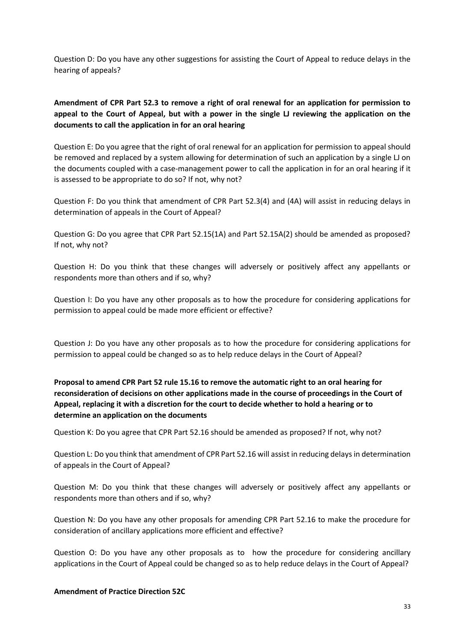Question D: Do you have any other suggestions for assisting the Court of Appeal to reduce delays in the hearing of appeals?

## **Amendment of CPR Part 52.3 to remove a right of oral renewal for an application for permission to appeal to the Court of Appeal, but with a power in the single LJ reviewing the application on the documents to call the application in for an oral hearing**

Question E: Do you agree that the right of oral renewal for an application for permission to appeal should be removed and replaced by a system allowing for determination of such an application by a single LJ on the documents coupled with a case-management power to call the application in for an oral hearing if it is assessed to be appropriate to do so? If not, why not?

Question F: Do you think that amendment of CPR Part 52.3(4) and (4A) will assist in reducing delays in determination of appeals in the Court of Appeal?

Question G: Do you agree that CPR Part 52.15(1A) and Part 52.15A(2) should be amended as proposed? If not, why not?

Question H: Do you think that these changes will adversely or positively affect any appellants or respondents more than others and if so, why?

Question I: Do you have any other proposals as to how the procedure for considering applications for permission to appeal could be made more efficient or effective?

Question J: Do you have any other proposals as to how the procedure for considering applications for permission to appeal could be changed so as to help reduce delays in the Court of Appeal?

## **Proposal to amend CPR Part 52 rule 15.16 to remove the automatic right to an oral hearing for reconsideration of decisions on other applications made in the course of proceedings in the Court of Appeal, replacing it with a discretion for the court to decide whether to hold a hearing or to determine an application on the documents**

Question K: Do you agree that CPR Part 52.16 should be amended as proposed? If not, why not?

Question L: Do you think that amendment of CPR Part 52.16 will assist in reducing delays in determination of appeals in the Court of Appeal?

Question M: Do you think that these changes will adversely or positively affect any appellants or respondents more than others and if so, why?

Question N: Do you have any other proposals for amending CPR Part 52.16 to make the procedure for consideration of ancillary applications more efficient and effective?

Question O: Do you have any other proposals as to how the procedure for considering ancillary applications in the Court of Appeal could be changed so as to help reduce delays in the Court of Appeal?

#### **Amendment of Practice Direction 52C**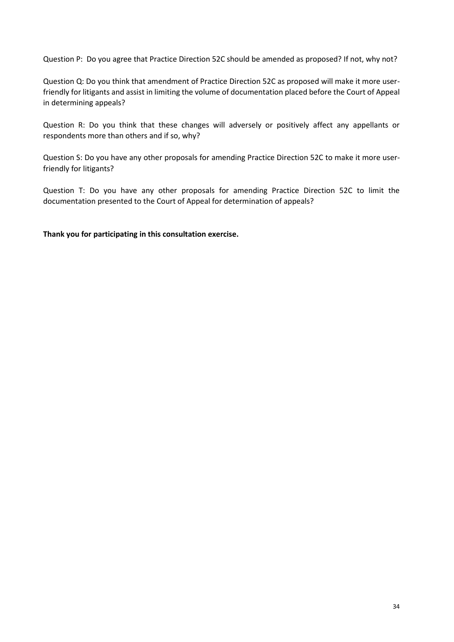Question P: Do you agree that Practice Direction 52C should be amended as proposed? If not, why not?

Question Q: Do you think that amendment of Practice Direction 52C as proposed will make it more userfriendly for litigants and assist in limiting the volume of documentation placed before the Court of Appeal in determining appeals?

Question R: Do you think that these changes will adversely or positively affect any appellants or respondents more than others and if so, why?

Question S: Do you have any other proposals for amending Practice Direction 52C to make it more userfriendly for litigants?

Question T: Do you have any other proposals for amending Practice Direction 52C to limit the documentation presented to the Court of Appeal for determination of appeals?

**Thank you for participating in this consultation exercise.**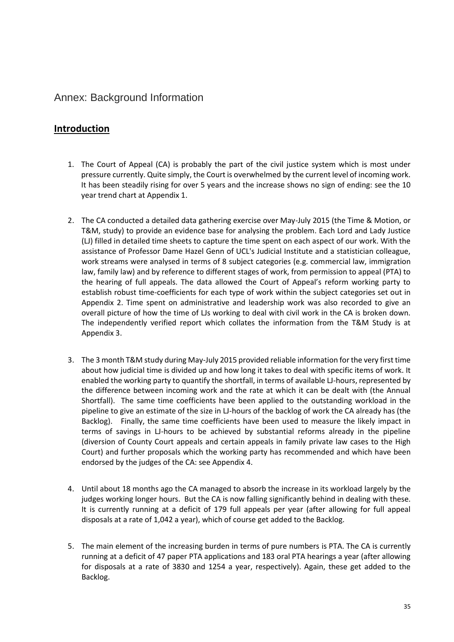## Annex: Background Information

## **Introduction**

- 1. The Court of Appeal (CA) is probably the part of the civil justice system which is most under pressure currently. Quite simply, the Court is overwhelmed by the current level of incoming work. It has been steadily rising for over 5 years and the increase shows no sign of ending: see the 10 year trend chart at Appendix 1.
- 2. The CA conducted a detailed data gathering exercise over May-July 2015 (the Time & Motion, or T&M, study) to provide an evidence base for analysing the problem. Each Lord and Lady Justice (LJ) filled in detailed time sheets to capture the time spent on each aspect of our work. With the assistance of Professor Dame Hazel Genn of UCL's Judicial Institute and a statistician colleague, work streams were analysed in terms of 8 subject categories (e.g. commercial law, immigration law, family law) and by reference to different stages of work, from permission to appeal (PTA) to the hearing of full appeals. The data allowed the Court of Appeal's reform working party to establish robust time-coefficients for each type of work within the subject categories set out in Appendix 2. Time spent on administrative and leadership work was also recorded to give an overall picture of how the time of LJs working to deal with civil work in the CA is broken down. The independently verified report which collates the information from the T&M Study is at Appendix 3.
- 3. The 3 month T&M study during May-July 2015 provided reliable information for the very first time about how judicial time is divided up and how long it takes to deal with specific items of work. It enabled the working party to quantify the shortfall, in terms of available LJ-hours, represented by the difference between incoming work and the rate at which it can be dealt with (the Annual Shortfall). The same time coefficients have been applied to the outstanding workload in the pipeline to give an estimate of the size in LJ-hours of the backlog of work the CA already has (the Backlog). Finally, the same time coefficients have been used to measure the likely impact in terms of savings in LJ-hours to be achieved by substantial reforms already in the pipeline (diversion of County Court appeals and certain appeals in family private law cases to the High Court) and further proposals which the working party has recommended and which have been endorsed by the judges of the CA: see Appendix 4.
- 4. Until about 18 months ago the CA managed to absorb the increase in its workload largely by the judges working longer hours. But the CA is now falling significantly behind in dealing with these. It is currently running at a deficit of 179 full appeals per year (after allowing for full appeal disposals at a rate of 1,042 a year), which of course get added to the Backlog.
- 5. The main element of the increasing burden in terms of pure numbers is PTA. The CA is currently running at a deficit of 47 paper PTA applications and 183 oral PTA hearings a year (after allowing for disposals at a rate of 3830 and 1254 a year, respectively). Again, these get added to the Backlog.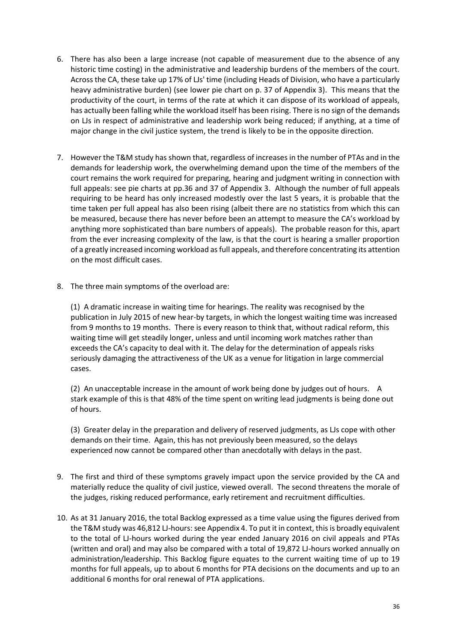- 6. There has also been a large increase (not capable of measurement due to the absence of any historic time costing) in the administrative and leadership burdens of the members of the court. Across the CA, these take up 17% of LJs' time (including Heads of Division, who have a particularly heavy administrative burden) (see lower pie chart on p. 37 of Appendix 3). This means that the productivity of the court, in terms of the rate at which it can dispose of its workload of appeals, has actually been falling while the workload itself has been rising. There is no sign of the demands on LJs in respect of administrative and leadership work being reduced; if anything, at a time of major change in the civil justice system, the trend is likely to be in the opposite direction.
- 7. However the T&M study has shown that, regardless of increases in the number of PTAs and in the demands for leadership work, the overwhelming demand upon the time of the members of the court remains the work required for preparing, hearing and judgment writing in connection with full appeals: see pie charts at pp.36 and 37 of Appendix 3. Although the number of full appeals requiring to be heard has only increased modestly over the last 5 years, it is probable that the time taken per full appeal has also been rising (albeit there are no statistics from which this can be measured, because there has never before been an attempt to measure the CA's workload by anything more sophisticated than bare numbers of appeals). The probable reason for this, apart from the ever increasing complexity of the law, is that the court is hearing a smaller proportion of a greatly increased incoming workload as full appeals, and therefore concentrating its attention on the most difficult cases.
- 8. The three main symptoms of the overload are:

(1) A dramatic increase in waiting time for hearings. The reality was recognised by the publication in July 2015 of new hear-by targets, in which the longest waiting time was increased from 9 months to 19 months. There is every reason to think that, without radical reform, this waiting time will get steadily longer, unless and until incoming work matches rather than exceeds the CA's capacity to deal with it. The delay for the determination of appeals risks seriously damaging the attractiveness of the UK as a venue for litigation in large commercial cases.

(2) An unacceptable increase in the amount of work being done by judges out of hours. A stark example of this is that 48% of the time spent on writing lead judgments is being done out of hours.

(3) Greater delay in the preparation and delivery of reserved judgments, as LJs cope with other demands on their time. Again, this has not previously been measured, so the delays experienced now cannot be compared other than anecdotally with delays in the past.

- 9. The first and third of these symptoms gravely impact upon the service provided by the CA and materially reduce the quality of civil justice, viewed overall. The second threatens the morale of the judges, risking reduced performance, early retirement and recruitment difficulties.
- 10. As at 31 January 2016, the total Backlog expressed as a time value using the figures derived from the T&M study was 46,812 LJ-hours: see Appendix 4. To put it in context, this is broadly equivalent to the total of LJ-hours worked during the year ended January 2016 on civil appeals and PTAs (written and oral) and may also be compared with a total of 19,872 LJ-hours worked annually on administration/leadership. This Backlog figure equates to the current waiting time of up to 19 months for full appeals, up to about 6 months for PTA decisions on the documents and up to an additional 6 months for oral renewal of PTA applications.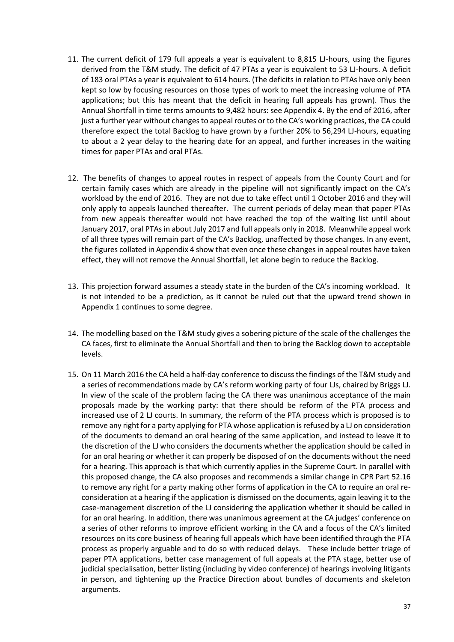- 11. The current deficit of 179 full appeals a year is equivalent to 8,815 LJ-hours, using the figures derived from the T&M study. The deficit of 47 PTAs a year is equivalent to 53 LJ-hours. A deficit of 183 oral PTAs a year is equivalent to 614 hours. (The deficits in relation to PTAs have only been kept so low by focusing resources on those types of work to meet the increasing volume of PTA applications; but this has meant that the deficit in hearing full appeals has grown). Thus the Annual Shortfall in time terms amounts to 9,482 hours: see Appendix 4. By the end of 2016, after just a further year without changes to appeal routes or to the CA's working practices, the CA could therefore expect the total Backlog to have grown by a further 20% to 56,294 LJ-hours, equating to about a 2 year delay to the hearing date for an appeal, and further increases in the waiting times for paper PTAs and oral PTAs.
- 12. The benefits of changes to appeal routes in respect of appeals from the County Court and for certain family cases which are already in the pipeline will not significantly impact on the CA's workload by the end of 2016. They are not due to take effect until 1 October 2016 and they will only apply to appeals launched thereafter. The current periods of delay mean that paper PTAs from new appeals thereafter would not have reached the top of the waiting list until about January 2017, oral PTAs in about July 2017 and full appeals only in 2018. Meanwhile appeal work of all three types will remain part of the CA's Backlog, unaffected by those changes. In any event, the figures collated in Appendix 4 show that even once these changes in appeal routes have taken effect, they will not remove the Annual Shortfall, let alone begin to reduce the Backlog.
- 13. This projection forward assumes a steady state in the burden of the CA's incoming workload. It is not intended to be a prediction, as it cannot be ruled out that the upward trend shown in Appendix 1 continues to some degree.
- 14. The modelling based on the T&M study gives a sobering picture of the scale of the challenges the CA faces, first to eliminate the Annual Shortfall and then to bring the Backlog down to acceptable levels.
- 15. On 11 March 2016 the CA held a half-day conference to discuss the findings of the T&M study and a series of recommendations made by CA's reform working party of four LJs, chaired by Briggs LJ. In view of the scale of the problem facing the CA there was unanimous acceptance of the main proposals made by the working party: that there should be reform of the PTA process and increased use of 2 LJ courts. In summary, the reform of the PTA process which is proposed is to remove any right for a party applying for PTA whose application is refused by a LJ on consideration of the documents to demand an oral hearing of the same application, and instead to leave it to the discretion of the LJ who considers the documents whether the application should be called in for an oral hearing or whether it can properly be disposed of on the documents without the need for a hearing. This approach is that which currently applies in the Supreme Court. In parallel with this proposed change, the CA also proposes and recommends a similar change in CPR Part 52.16 to remove any right for a party making other forms of application in the CA to require an oral reconsideration at a hearing if the application is dismissed on the documents, again leaving it to the case-management discretion of the LJ considering the application whether it should be called in for an oral hearing. In addition, there was unanimous agreement at the CA judges' conference on a series of other reforms to improve efficient working in the CA and a focus of the CA's limited resources on its core business of hearing full appeals which have been identified through the PTA process as properly arguable and to do so with reduced delays. These include better triage of paper PTA applications, better case management of full appeals at the PTA stage, better use of judicial specialisation, better listing (including by video conference) of hearings involving litigants in person, and tightening up the Practice Direction about bundles of documents and skeleton arguments.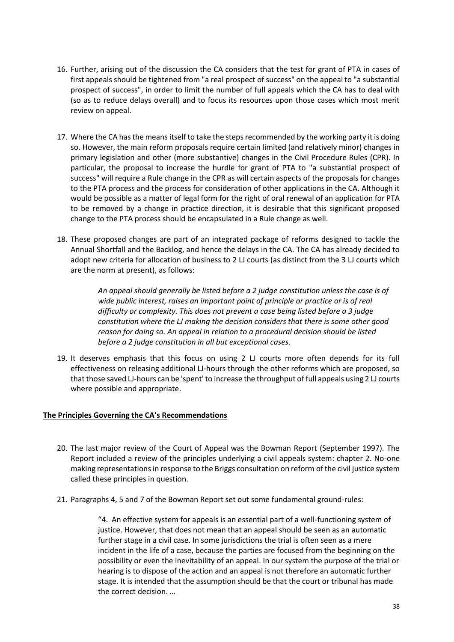- 16. Further, arising out of the discussion the CA considers that the test for grant of PTA in cases of first appeals should be tightened from "a real prospect of success" on the appeal to "a substantial prospect of success", in order to limit the number of full appeals which the CA has to deal with (so as to reduce delays overall) and to focus its resources upon those cases which most merit review on appeal.
- 17. Where the CA has the means itself to take the steps recommended by the working party it is doing so. However, the main reform proposals require certain limited (and relatively minor) changes in primary legislation and other (more substantive) changes in the Civil Procedure Rules (CPR). In particular, the proposal to increase the hurdle for grant of PTA to "a substantial prospect of success" will require a Rule change in the CPR as will certain aspects of the proposals for changes to the PTA process and the process for consideration of other applications in the CA. Although it would be possible as a matter of legal form for the right of oral renewal of an application for PTA to be removed by a change in practice direction, it is desirable that this significant proposed change to the PTA process should be encapsulated in a Rule change as well.
- 18. These proposed changes are part of an integrated package of reforms designed to tackle the Annual Shortfall and the Backlog, and hence the delays in the CA. The CA has already decided to adopt new criteria for allocation of business to 2 LJ courts (as distinct from the 3 LJ courts which are the norm at present), as follows:

*An appeal should generally be listed before a 2 judge constitution unless the case is of wide public interest, raises an important point of principle or practice or is of real difficulty or complexity. This does not prevent a case being listed before a 3 judge constitution where the LJ making the decision considers that there is some other good reason for doing so. An appeal in relation to a procedural decision should be listed before a 2 judge constitution in all but exceptional cases*.

19. It deserves emphasis that this focus on using 2 LJ courts more often depends for its full effectiveness on releasing additional LJ-hours through the other reforms which are proposed, so that those saved LJ-hours can be 'spent' to increase the throughput of full appeals using 2 LJ courts where possible and appropriate.

#### **The Principles Governing the CA's Recommendations**

- 20. The last major review of the Court of Appeal was the Bowman Report (September 1997). The Report included a review of the principles underlying a civil appeals system: chapter 2. No-one making representations in response to the Briggs consultation on reform of the civil justice system called these principles in question.
- 21. Paragraphs 4, 5 and 7 of the Bowman Report set out some fundamental ground-rules:

"4. An effective system for appeals is an essential part of a well-functioning system of justice. However, that does not mean that an appeal should be seen as an automatic further stage in a civil case. In some jurisdictions the trial is often seen as a mere incident in the life of a case, because the parties are focused from the beginning on the possibility or even the inevitability of an appeal. In our system the purpose of the trial or hearing is to dispose of the action and an appeal is not therefore an automatic further stage. It is intended that the assumption should be that the court or tribunal has made the correct decision. …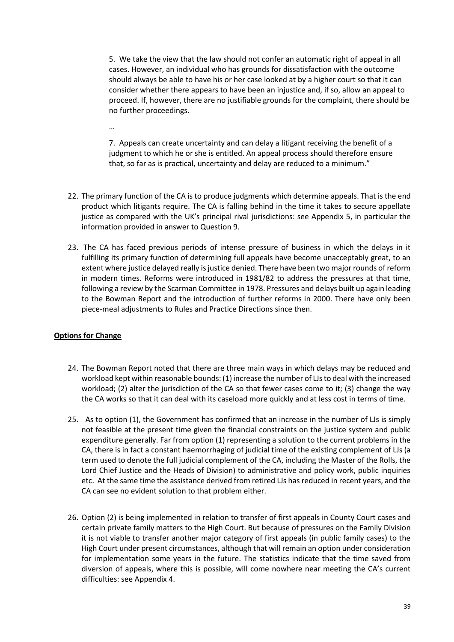5. We take the view that the law should not confer an automatic right of appeal in all cases. However, an individual who has grounds for dissatisfaction with the outcome should always be able to have his or her case looked at by a higher court so that it can consider whether there appears to have been an injustice and, if so, allow an appeal to proceed. If, however, there are no justifiable grounds for the complaint, there should be no further proceedings.

…

7. Appeals can create uncertainty and can delay a litigant receiving the benefit of a judgment to which he or she is entitled. An appeal process should therefore ensure that, so far as is practical, uncertainty and delay are reduced to a minimum."

- 22. The primary function of the CA is to produce judgments which determine appeals. That is the end product which litigants require. The CA is falling behind in the time it takes to secure appellate justice as compared with the UK's principal rival jurisdictions: see Appendix 5, in particular the information provided in answer to Question 9.
- 23. The CA has faced previous periods of intense pressure of business in which the delays in it fulfilling its primary function of determining full appeals have become unacceptably great, to an extent where justice delayed really is justice denied. There have been two major rounds of reform in modern times. Reforms were introduced in 1981/82 to address the pressures at that time, following a review by the Scarman Committee in 1978. Pressures and delays built up again leading to the Bowman Report and the introduction of further reforms in 2000. There have only been piece-meal adjustments to Rules and Practice Directions since then.

## **Options for Change**

- 24. The Bowman Report noted that there are three main ways in which delays may be reduced and workload kept within reasonable bounds: (1) increase the number of LJs to deal with the increased workload; (2) alter the jurisdiction of the CA so that fewer cases come to it; (3) change the way the CA works so that it can deal with its caseload more quickly and at less cost in terms of time.
- 25. As to option (1), the Government has confirmed that an increase in the number of LJs is simply not feasible at the present time given the financial constraints on the justice system and public expenditure generally. Far from option (1) representing a solution to the current problems in the CA, there is in fact a constant haemorrhaging of judicial time of the existing complement of LJs (a term used to denote the full judicial complement of the CA, including the Master of the Rolls, the Lord Chief Justice and the Heads of Division) to administrative and policy work, public inquiries etc. At the same time the assistance derived from retired LJs has reduced in recent years, and the CA can see no evident solution to that problem either.
- 26. Option (2) is being implemented in relation to transfer of first appeals in County Court cases and certain private family matters to the High Court. But because of pressures on the Family Division it is not viable to transfer another major category of first appeals (in public family cases) to the High Court under present circumstances, although that will remain an option under consideration for implementation some years in the future. The statistics indicate that the time saved from diversion of appeals, where this is possible, will come nowhere near meeting the CA's current difficulties: see Appendix 4.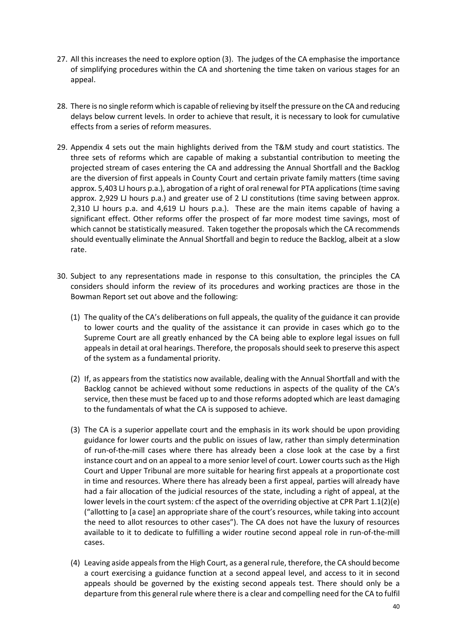- 27. All this increases the need to explore option (3). The judges of the CA emphasise the importance of simplifying procedures within the CA and shortening the time taken on various stages for an appeal.
- 28. There is no single reform which is capable of relieving by itself the pressure on the CA and reducing delays below current levels. In order to achieve that result, it is necessary to look for cumulative effects from a series of reform measures.
- 29. Appendix 4 sets out the main highlights derived from the T&M study and court statistics. The three sets of reforms which are capable of making a substantial contribution to meeting the projected stream of cases entering the CA and addressing the Annual Shortfall and the Backlog are the diversion of first appeals in County Court and certain private family matters (time saving approx. 5,403 LJ hours p.a.), abrogation of a right of oral renewal for PTA applications (time saving approx. 2,929 LJ hours p.a.) and greater use of 2 LJ constitutions (time saving between approx. 2,310 LJ hours p.a. and 4,619 LJ hours p.a.). These are the main items capable of having a significant effect. Other reforms offer the prospect of far more modest time savings, most of which cannot be statistically measured. Taken together the proposals which the CA recommends should eventually eliminate the Annual Shortfall and begin to reduce the Backlog, albeit at a slow rate.
- 30. Subject to any representations made in response to this consultation, the principles the CA considers should inform the review of its procedures and working practices are those in the Bowman Report set out above and the following:
	- (1) The quality of the CA's deliberations on full appeals, the quality of the guidance it can provide to lower courts and the quality of the assistance it can provide in cases which go to the Supreme Court are all greatly enhanced by the CA being able to explore legal issues on full appeals in detail at oral hearings. Therefore, the proposals should seek to preserve this aspect of the system as a fundamental priority.
	- (2) If, as appears from the statistics now available, dealing with the Annual Shortfall and with the Backlog cannot be achieved without some reductions in aspects of the quality of the CA's service, then these must be faced up to and those reforms adopted which are least damaging to the fundamentals of what the CA is supposed to achieve.
	- (3) The CA is a superior appellate court and the emphasis in its work should be upon providing guidance for lower courts and the public on issues of law, rather than simply determination of run-of-the-mill cases where there has already been a close look at the case by a first instance court and on an appeal to a more senior level of court. Lower courts such as the High Court and Upper Tribunal are more suitable for hearing first appeals at a proportionate cost in time and resources. Where there has already been a first appeal, parties will already have had a fair allocation of the judicial resources of the state, including a right of appeal, at the lower levels in the court system: cf the aspect of the overriding objective at CPR Part 1.1(2)(e) ("allotting to [a case] an appropriate share of the court's resources, while taking into account the need to allot resources to other cases"). The CA does not have the luxury of resources available to it to dedicate to fulfilling a wider routine second appeal role in run-of-the-mill cases.
	- (4) Leaving aside appeals from the High Court, as a general rule, therefore, the CA should become a court exercising a guidance function at a second appeal level, and access to it in second appeals should be governed by the existing second appeals test. There should only be a departure from this general rule where there is a clear and compelling need for the CA to fulfil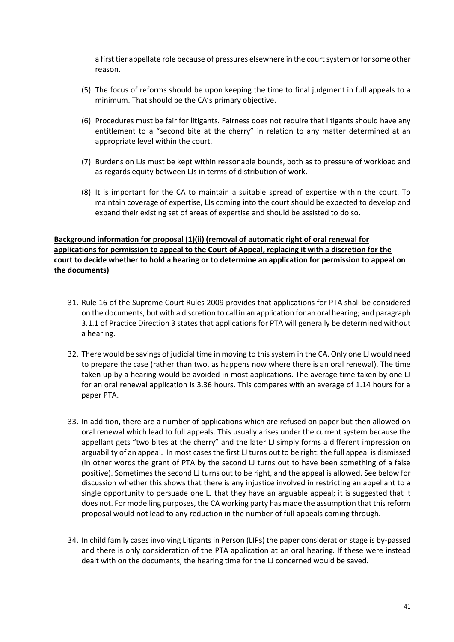a first tier appellate role because of pressures elsewhere in the court system or for some other reason.

- (5) The focus of reforms should be upon keeping the time to final judgment in full appeals to a minimum. That should be the CA's primary objective.
- (6) Procedures must be fair for litigants. Fairness does not require that litigants should have any entitlement to a "second bite at the cherry" in relation to any matter determined at an appropriate level within the court.
- (7) Burdens on LJs must be kept within reasonable bounds, both as to pressure of workload and as regards equity between LJs in terms of distribution of work.
- (8) It is important for the CA to maintain a suitable spread of expertise within the court. To maintain coverage of expertise, LJs coming into the court should be expected to develop and expand their existing set of areas of expertise and should be assisted to do so.

## **Background information for proposal (1)(ii) (removal of automatic right of oral renewal for applications for permission to appeal to the Court of Appeal, replacing it with a discretion for the court to decide whether to hold a hearing or to determine an application for permission to appeal on the documents)**

- 31. Rule 16 of the Supreme Court Rules 2009 provides that applications for PTA shall be considered on the documents, but with a discretion to call in an application for an oral hearing; and paragraph 3.1.1 of Practice Direction 3 states that applications for PTA will generally be determined without a hearing.
- 32. There would be savings of judicial time in moving to this system in the CA. Only one LJ would need to prepare the case (rather than two, as happens now where there is an oral renewal). The time taken up by a hearing would be avoided in most applications. The average time taken by one LJ for an oral renewal application is 3.36 hours. This compares with an average of 1.14 hours for a paper PTA.
- 33. In addition, there are a number of applications which are refused on paper but then allowed on oral renewal which lead to full appeals. This usually arises under the current system because the appellant gets "two bites at the cherry" and the later LJ simply forms a different impression on arguability of an appeal. In most cases the first LJ turns out to be right: the full appeal is dismissed (in other words the grant of PTA by the second LJ turns out to have been something of a false positive). Sometimes the second LJ turns out to be right, and the appeal is allowed. See below for discussion whether this shows that there is any injustice involved in restricting an appellant to a single opportunity to persuade one LJ that they have an arguable appeal; it is suggested that it does not. For modelling purposes, the CA working party has made the assumption that this reform proposal would not lead to any reduction in the number of full appeals coming through.
- 34. In child family cases involving Litigants in Person (LIPs) the paper consideration stage is by-passed and there is only consideration of the PTA application at an oral hearing. If these were instead dealt with on the documents, the hearing time for the LJ concerned would be saved.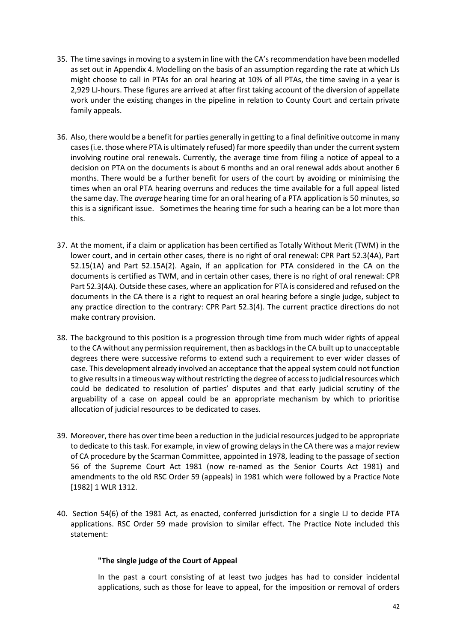- 35. The time savings in moving to a system in line with the CA's recommendation have been modelled as set out in Appendix 4. Modelling on the basis of an assumption regarding the rate at which LJs might choose to call in PTAs for an oral hearing at 10% of all PTAs, the time saving in a year is 2,929 LJ-hours. These figures are arrived at after first taking account of the diversion of appellate work under the existing changes in the pipeline in relation to County Court and certain private family appeals.
- 36. Also, there would be a benefit for parties generally in getting to a final definitive outcome in many cases (i.e. those where PTA is ultimately refused) far more speedily than under the current system involving routine oral renewals. Currently, the average time from filing a notice of appeal to a decision on PTA on the documents is about 6 months and an oral renewal adds about another 6 months. There would be a further benefit for users of the court by avoiding or minimising the times when an oral PTA hearing overruns and reduces the time available for a full appeal listed the same day. The *average* hearing time for an oral hearing of a PTA application is 50 minutes, so this is a significant issue. Sometimes the hearing time for such a hearing can be a lot more than this.
- 37. At the moment, if a claim or application has been certified as Totally Without Merit (TWM) in the lower court, and in certain other cases, there is no right of oral renewal: CPR Part 52.3(4A), Part 52.15(1A) and Part 52.15A(2). Again, if an application for PTA considered in the CA on the documents is certified as TWM, and in certain other cases, there is no right of oral renewal: CPR Part 52.3(4A). Outside these cases, where an application for PTA is considered and refused on the documents in the CA there is a right to request an oral hearing before a single judge, subject to any practice direction to the contrary: CPR Part 52.3(4). The current practice directions do not make contrary provision.
- 38. The background to this position is a progression through time from much wider rights of appeal to the CA without any permission requirement, then as backlogs in the CA built up to unacceptable degrees there were successive reforms to extend such a requirement to ever wider classes of case. This development already involved an acceptance that the appeal system could not function to give results in a timeous way without restricting the degree of access to judicial resources which could be dedicated to resolution of parties' disputes and that early judicial scrutiny of the arguability of a case on appeal could be an appropriate mechanism by which to prioritise allocation of judicial resources to be dedicated to cases.
- 39. Moreover, there has over time been a reduction in the judicial resources judged to be appropriate to dedicate to this task. For example, in view of growing delays in the CA there was a major review of CA procedure by the Scarman Committee, appointed in 1978, leading to the passage of section 56 of the Supreme Court Act 1981 (now re-named as the Senior Courts Act 1981) and amendments to the old RSC Order 59 (appeals) in 1981 which were followed by a Practice Note [1982] 1 WLR 1312.
- 40. Section 54(6) of the 1981 Act, as enacted, conferred jurisdiction for a single LJ to decide PTA applications. RSC Order 59 made provision to similar effect. The Practice Note included this statement:

## **"The single judge of the Court of Appeal**

In the past a court consisting of at least two judges has had to consider incidental applications, such as those for leave to appeal, for the imposition or removal of orders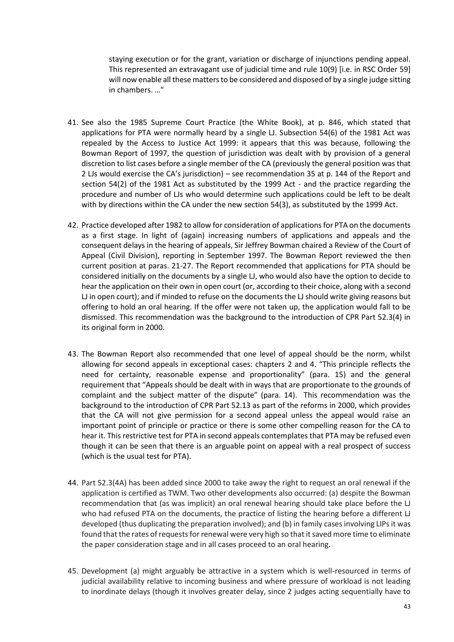staying execution or for the grant, variation or discharge of injunctions pending appeal. This represented an extravagant use of judicial time and rule 10(9) [i.e. in RSC Order 59] will now enable all these matters to be considered and disposed of by a single judge sitting in chambers. …"

- 41. See also the 1985 Supreme Court Practice (the White Book), at p. 846, which stated that applications for PTA were normally heard by a single LJ. Subsection 54(6) of the 1981 Act was repealed by the Access to Justice Act 1999: it appears that this was because, following the Bowman Report of 1997, the question of jurisdiction was dealt with by provision of a general discretion to list cases before a single member of the CA (previously the general position was that 2 LJs would exercise the CA's jurisdiction) – see recommendation 35 at p. 144 of the Report and section 54(2) of the 1981 Act as substituted by the 1999 Act - and the practice regarding the procedure and number of LJs who would determine such applications could be left to be dealt with by directions within the CA under the new section 54(3), as substituted by the 1999 Act.
- 42. Practice developed after 1982 to allow for consideration of applications for PTA on the documents as a first stage. In light of (again) increasing numbers of applications and appeals and the consequent delays in the hearing of appeals, Sir Jeffrey Bowman chaired a Review of the Court of Appeal (Civil Division), reporting in September 1997. The Bowman Report reviewed the then current position at paras. 21-27. The Report recommended that applications for PTA should be considered initially on the documents by a single LJ, who would also have the option to decide to hear the application on their own in open court (or, according to their choice, along with a second LJ in open court); and if minded to refuse on the documents the LJ should write giving reasons but offering to hold an oral hearing. If the offer were not taken up, the application would fall to be dismissed. This recommendation was the background to the introduction of CPR Part 52.3(4) in its original form in 2000.
- 43. The Bowman Report also recommended that one level of appeal should be the norm, whilst allowing for second appeals in exceptional cases: chapters 2 and 4. "This principle reflects the need for certainty, reasonable expense and proportionality" (para. 15) and the general requirement that "Appeals should be dealt with in ways that are proportionate to the grounds of complaint and the subject matter of the dispute" (para. 14). This recommendation was the background to the introduction of CPR Part 52.13 as part of the reforms in 2000, which provides that the CA will not give permission for a second appeal unless the appeal would raise an important point of principle or practice or there is some other compelling reason for the CA to hear it. This restrictive test for PTA in second appeals contemplates that PTA may be refused even though it can be seen that there is an arguable point on appeal with a real prospect of success (which is the usual test for PTA).
- 44. Part 52.3(4A) has been added since 2000 to take away the right to request an oral renewal if the application is certified as TWM. Two other developments also occurred: (a) despite the Bowman recommendation that (as was implicit) an oral renewal hearing should take place before the LJ who had refused PTA on the documents, the practice of listing the hearing before a different LJ developed (thus duplicating the preparation involved); and (b) in family cases involving LIPs it was found that the rates of requests for renewal were very high so that it saved more time to eliminate the paper consideration stage and in all cases proceed to an oral hearing.
- 45. Development (a) might arguably be attractive in a system which is well-resourced in terms of judicial availability relative to incoming business and where pressure of workload is not leading to inordinate delays (though it involves greater delay, since 2 judges acting sequentially have to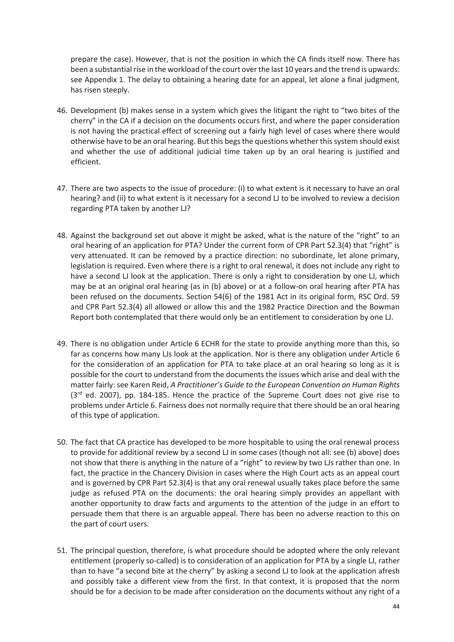prepare the case). However, that is not the position in which the CA finds itself now. There has been a substantial rise in the workload of the court over the last 10 years and the trend is upwards: see Appendix 1. The delay to obtaining a hearing date for an appeal, let alone a final judgment, has risen steeply.

- 46. Development (b) makes sense in a system which gives the litigant the right to "two bites of the cherry" in the CA if a decision on the documents occurs first, and where the paper consideration is not having the practical effect of screening out a fairly high level of cases where there would otherwise have to be an oral hearing. But this begs the questions whether this system should exist and whether the use of additional judicial time taken up by an oral hearing is justified and efficient.
- 47. There are two aspects to the issue of procedure: (i) to what extent is it necessary to have an oral hearing? and (ii) to what extent is it necessary for a second LJ to be involved to review a decision regarding PTA taken by another LJ?
- 48. Against the background set out above it might be asked, what is the nature of the "right" to an oral hearing of an application for PTA? Under the current form of CPR Part 52.3(4) that "right" is very attenuated. It can be removed by a practice direction: no subordinate, let alone primary, legislation is required. Even where there is a right to oral renewal, it does not include any right to have a second LJ look at the application. There is only a right to consideration by one LJ, which may be at an original oral hearing (as in (b) above) or at a follow-on oral hearing after PTA has been refused on the documents. Section 54(6) of the 1981 Act in its original form, RSC Ord. 59 and CPR Part 52.3(4) all allowed or allow this and the 1982 Practice Direction and the Bowman Report both contemplated that there would only be an entitlement to consideration by one LJ.
- 49. There is no obligation under Article 6 ECHR for the state to provide anything more than this, so far as concerns how many LJs look at the application. Nor is there any obligation under Article 6 for the consideration of an application for PTA to take place at an oral hearing so long as it is possible for the court to understand from the documents the issues which arise and deal with the matter fairly: see Karen Reid, *A Practitioner's Guide to the European Convention on Human Rights*   $(3<sup>rd</sup>$  ed. 2007), pp. 184-185. Hence the practice of the Supreme Court does not give rise to problems under Article 6. Fairness does not normally require that there should be an oral hearing of this type of application.
- 50. The fact that CA practice has developed to be more hospitable to using the oral renewal process to provide for additional review by a second LJ in some cases (though not all: see (b) above) does not show that there is anything in the nature of a "right" to review by two LJs rather than one. In fact, the practice in the Chancery Division in cases where the High Court acts as an appeal court and is governed by CPR Part 52.3(4) is that any oral renewal usually takes place before the same judge as refused PTA on the documents: the oral hearing simply provides an appellant with another opportunity to draw facts and arguments to the attention of the judge in an effort to persuade them that there is an arguable appeal. There has been no adverse reaction to this on the part of court users.
- 51. The principal question, therefore, is what procedure should be adopted where the only relevant entitlement (properly so-called) is to consideration of an application for PTA by a single LJ, rather than to have "a second bite at the cherry" by asking a second LJ to look at the application afresh and possibly take a different view from the first. In that context, it is proposed that the norm should be for a decision to be made after consideration on the documents without any right of a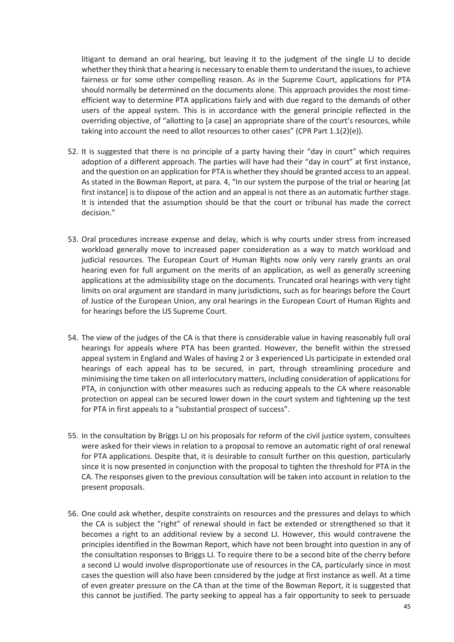litigant to demand an oral hearing, but leaving it to the judgment of the single LJ to decide whether they think that a hearing is necessary to enable them to understand the issues, to achieve fairness or for some other compelling reason. As in the Supreme Court, applications for PTA should normally be determined on the documents alone. This approach provides the most timeefficient way to determine PTA applications fairly and with due regard to the demands of other users of the appeal system. This is in accordance with the general principle reflected in the overriding objective, of "allotting to [a case] an appropriate share of the court's resources, while taking into account the need to allot resources to other cases" (CPR Part 1.1(2)(e)).

- 52. It is suggested that there is no principle of a party having their "day in court" which requires adoption of a different approach. The parties will have had their "day in court" at first instance, and the question on an application for PTA is whether they should be granted access to an appeal. As stated in the Bowman Report, at para. 4, "In our system the purpose of the trial or hearing [at first instance] is to dispose of the action and an appeal is not there as an automatic further stage. It is intended that the assumption should be that the court or tribunal has made the correct decision."
- 53. Oral procedures increase expense and delay, which is why courts under stress from increased workload generally move to increased paper consideration as a way to match workload and judicial resources. The European Court of Human Rights now only very rarely grants an oral hearing even for full argument on the merits of an application, as well as generally screening applications at the admissibility stage on the documents. Truncated oral hearings with very tight limits on oral argument are standard in many jurisdictions, such as for hearings before the Court of Justice of the European Union, any oral hearings in the European Court of Human Rights and for hearings before the US Supreme Court.
- 54. The view of the judges of the CA is that there is considerable value in having reasonably full oral hearings for appeals where PTA has been granted. However, the benefit within the stressed appeal system in England and Wales of having 2 or 3 experienced LJs participate in extended oral hearings of each appeal has to be secured, in part, through streamlining procedure and minimising the time taken on all interlocutory matters, including consideration of applications for PTA, in conjunction with other measures such as reducing appeals to the CA where reasonable protection on appeal can be secured lower down in the court system and tightening up the test for PTA in first appeals to a "substantial prospect of success".
- 55. In the consultation by Briggs LJ on his proposals for reform of the civil justice system, consultees were asked for their views in relation to a proposal to remove an automatic right of oral renewal for PTA applications. Despite that, it is desirable to consult further on this question, particularly since it is now presented in conjunction with the proposal to tighten the threshold for PTA in the CA. The responses given to the previous consultation will be taken into account in relation to the present proposals.
- 56. One could ask whether, despite constraints on resources and the pressures and delays to which the CA is subject the "right" of renewal should in fact be extended or strengthened so that it becomes a right to an additional review by a second LJ. However, this would contravene the principles identified in the Bowman Report, which have not been brought into question in any of the consultation responses to Briggs LJ. To require there to be a second bite of the cherry before a second LJ would involve disproportionate use of resources in the CA, particularly since in most cases the question will also have been considered by the judge at first instance as well. At a time of even greater pressure on the CA than at the time of the Bowman Report, it is suggested that this cannot be justified. The party seeking to appeal has a fair opportunity to seek to persuade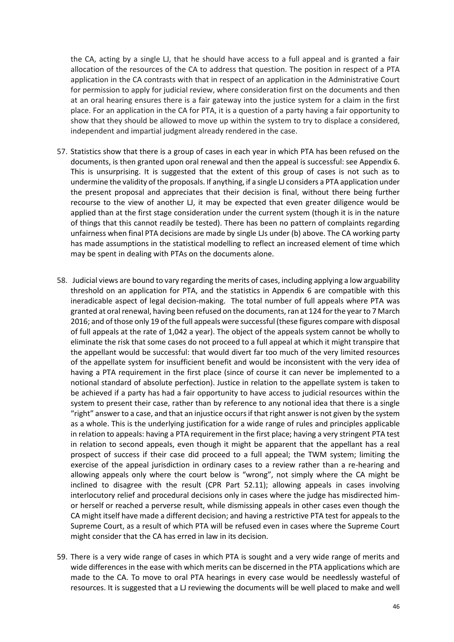the CA, acting by a single LJ, that he should have access to a full appeal and is granted a fair allocation of the resources of the CA to address that question. The position in respect of a PTA application in the CA contrasts with that in respect of an application in the Administrative Court for permission to apply for judicial review, where consideration first on the documents and then at an oral hearing ensures there is a fair gateway into the justice system for a claim in the first place. For an application in the CA for PTA, it is a question of a party having a fair opportunity to show that they should be allowed to move up within the system to try to displace a considered, independent and impartial judgment already rendered in the case.

- 57. Statistics show that there is a group of cases in each year in which PTA has been refused on the documents, is then granted upon oral renewal and then the appeal is successful: see Appendix 6. This is unsurprising. It is suggested that the extent of this group of cases is not such as to undermine the validity of the proposals. If anything, if a single LJ considers a PTA application under the present proposal and appreciates that their decision is final, without there being further recourse to the view of another LJ, it may be expected that even greater diligence would be applied than at the first stage consideration under the current system (though it is in the nature of things that this cannot readily be tested). There has been no pattern of complaints regarding unfairness when final PTA decisions are made by single LJs under (b) above. The CA working party has made assumptions in the statistical modelling to reflect an increased element of time which may be spent in dealing with PTAs on the documents alone.
- 58. Judicial views are bound to vary regarding the merits of cases, including applying a low arguability threshold on an application for PTA, and the statistics in Appendix 6 are compatible with this ineradicable aspect of legal decision-making. The total number of full appeals where PTA was granted at oral renewal, having been refused on the documents, ran at 124 for the year to 7 March 2016; and of those only 19 of the full appeals were successful (these figures compare with disposal of full appeals at the rate of 1,042 a year). The object of the appeals system cannot be wholly to eliminate the risk that some cases do not proceed to a full appeal at which it might transpire that the appellant would be successful: that would divert far too much of the very limited resources of the appellate system for insufficient benefit and would be inconsistent with the very idea of having a PTA requirement in the first place (since of course it can never be implemented to a notional standard of absolute perfection). Justice in relation to the appellate system is taken to be achieved if a party has had a fair opportunity to have access to judicial resources within the system to present their case, rather than by reference to any notional idea that there is a single "right" answer to a case, and that an injustice occurs if that right answer is not given by the system as a whole. This is the underlying justification for a wide range of rules and principles applicable in relation to appeals: having a PTA requirement in the first place; having a very stringent PTA test in relation to second appeals, even though it might be apparent that the appellant has a real prospect of success if their case did proceed to a full appeal; the TWM system; limiting the exercise of the appeal jurisdiction in ordinary cases to a review rather than a re-hearing and allowing appeals only where the court below is "wrong", not simply where the CA might be inclined to disagree with the result (CPR Part 52.11); allowing appeals in cases involving interlocutory relief and procedural decisions only in cases where the judge has misdirected himor herself or reached a perverse result, while dismissing appeals in other cases even though the CA might itself have made a different decision; and having a restrictive PTA test for appeals to the Supreme Court, as a result of which PTA will be refused even in cases where the Supreme Court might consider that the CA has erred in law in its decision.
- 59. There is a very wide range of cases in which PTA is sought and a very wide range of merits and wide differences in the ease with which merits can be discerned in the PTA applications which are made to the CA. To move to oral PTA hearings in every case would be needlessly wasteful of resources. It is suggested that a LJ reviewing the documents will be well placed to make and well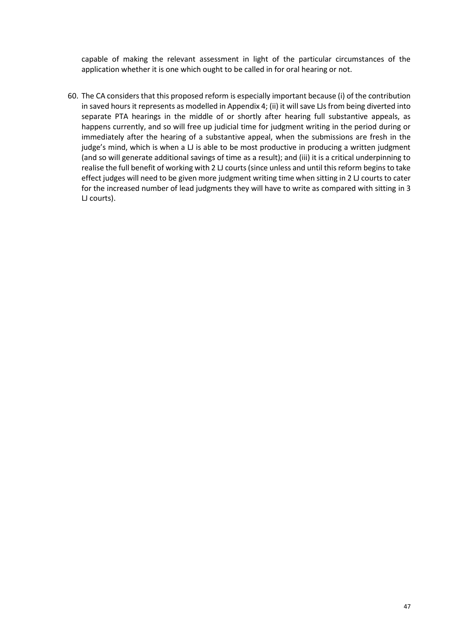capable of making the relevant assessment in light of the particular circumstances of the application whether it is one which ought to be called in for oral hearing or not.

60. The CA considers that this proposed reform is especially important because (i) of the contribution in saved hours it represents as modelled in Appendix 4; (ii) it will save LJs from being diverted into separate PTA hearings in the middle of or shortly after hearing full substantive appeals, as happens currently, and so will free up judicial time for judgment writing in the period during or immediately after the hearing of a substantive appeal, when the submissions are fresh in the judge's mind, which is when a LJ is able to be most productive in producing a written judgment (and so will generate additional savings of time as a result); and (iii) it is a critical underpinning to realise the full benefit of working with 2 LJ courts (since unless and until this reform begins to take effect judges will need to be given more judgment writing time when sitting in 2 LJ courts to cater for the increased number of lead judgments they will have to write as compared with sitting in 3 LJ courts).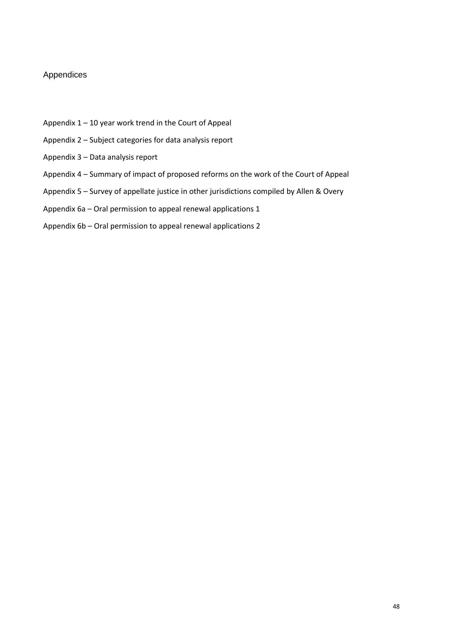## Appendices

- Appendix 1 10 year work trend in the Court of Appeal
- Appendix 2 Subject categories for data analysis report
- Appendix 3 Data analysis report
- Appendix 4 Summary of impact of proposed reforms on the work of the Court of Appeal
- Appendix 5 Survey of appellate justice in other jurisdictions compiled by Allen & Overy
- Appendix 6a Oral permission to appeal renewal applications 1
- Appendix 6b Oral permission to appeal renewal applications 2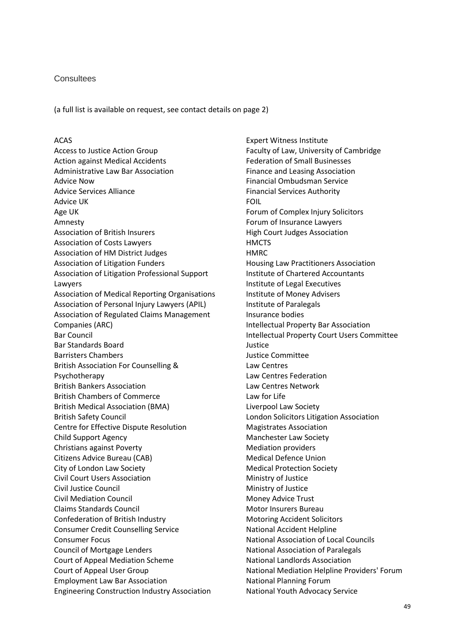#### **Consultees**

(a full list is available on request, see contact details on page 2)

#### ACAS

Access to Justice Action Group Action against Medical Accidents Administrative Law Bar Association Advice Now Advice Services Alliance Advice UK Age UK Amnesty Association of British Insurers Association of Costs Lawyers Association of HM District Judges Association of Litigation Funders Association of Litigation Professional Support Lawyers Association of Medical Reporting Organisations Association of Personal Injury Lawyers (APIL) Association of Regulated Claims Management Companies (ARC) Bar Council Bar Standards Board Barristers Chambers British Association For Counselling & Psychotherapy British Bankers Association British Chambers of Commerce British Medical Association (BMA) British Safety Council Centre for Effective Dispute Resolution Child Support Agency Christians against Poverty Citizens Advice Bureau (CAB) City of London Law Society Civil Court Users Association Civil Justice Council Civil Mediation Council Claims Standards Council Confederation of British Industry Consumer Credit Counselling Service Consumer Focus Council of Mortgage Lenders Court of Appeal Mediation Scheme Court of Appeal User Group Employment Law Bar Association Engineering Construction Industry Association

Expert Witness Institute Faculty of Law, University of Cambridge Federation of Small Businesses Finance and Leasing Association Financial Ombudsman Service Financial Services Authority FOIL Forum of Complex Injury Solicitors Forum of Insurance Lawyers High Court Judges Association **HMCTS HMRC** Housing Law Practitioners Association Institute of Chartered Accountants Institute of Legal Executives Institute of Money Advisers Institute of Paralegals Insurance bodies Intellectual Property Bar Association Intellectual Property Court Users Committee Justice Justice Committee Law Centres Law Centres Federation Law Centres Network Law for Life Liverpool Law Society London Solicitors Litigation Association Magistrates Association Manchester Law Society Mediation providers Medical Defence Union Medical Protection Society Ministry of Justice Ministry of Justice Money Advice Trust Motor Insurers Bureau Motoring Accident Solicitors National Accident Helpline National Association of Local Councils National Association of Paralegals National Landlords Association National Mediation Helpline Providers' Forum National Planning Forum National Youth Advocacy Service